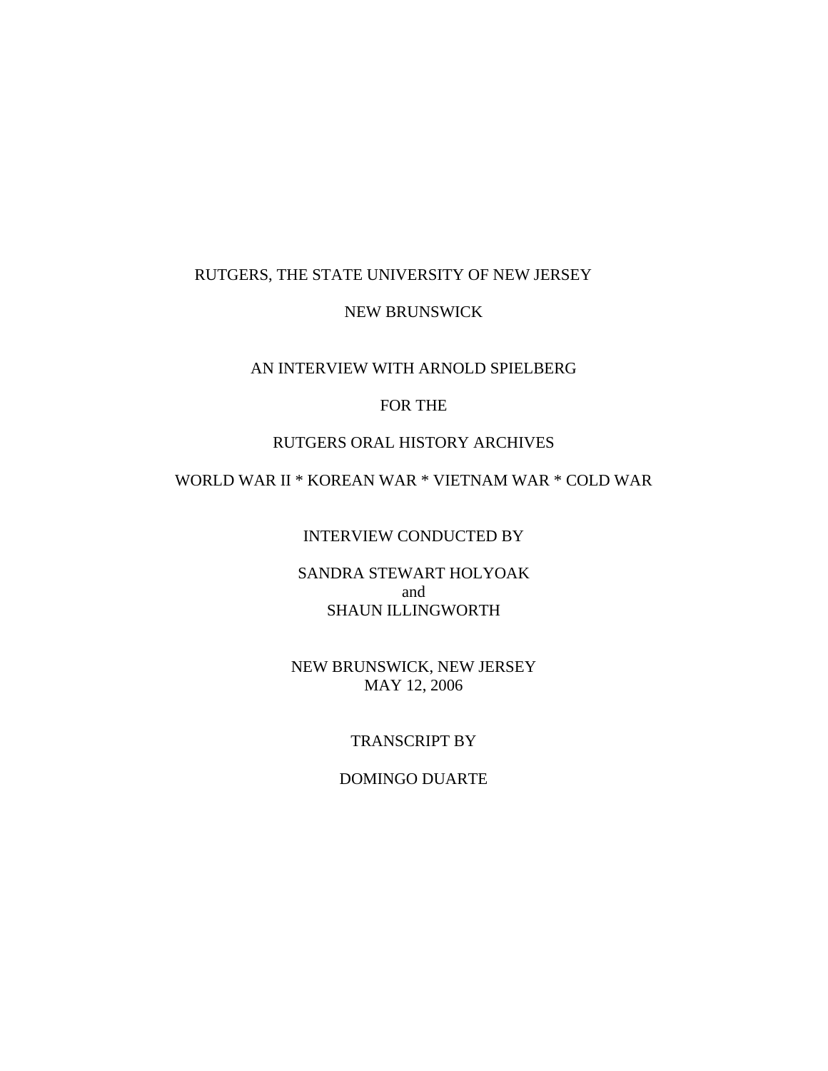### RUTGERS, THE STATE UNIVERSITY OF NEW JERSEY

#### NEW BRUNSWICK

## AN INTERVIEW WITH ARNOLD SPIELBERG

## FOR THE

### RUTGERS ORAL HISTORY ARCHIVES

## WORLD WAR II \* KOREAN WAR \* VIETNAM WAR \* COLD WAR

INTERVIEW CONDUCTED BY

SANDRA STEWART HOLYOAK and SHAUN ILLINGWORTH

NEW BRUNSWICK, NEW JERSEY MAY 12, 2006

## TRANSCRIPT BY

#### DOMINGO DUARTE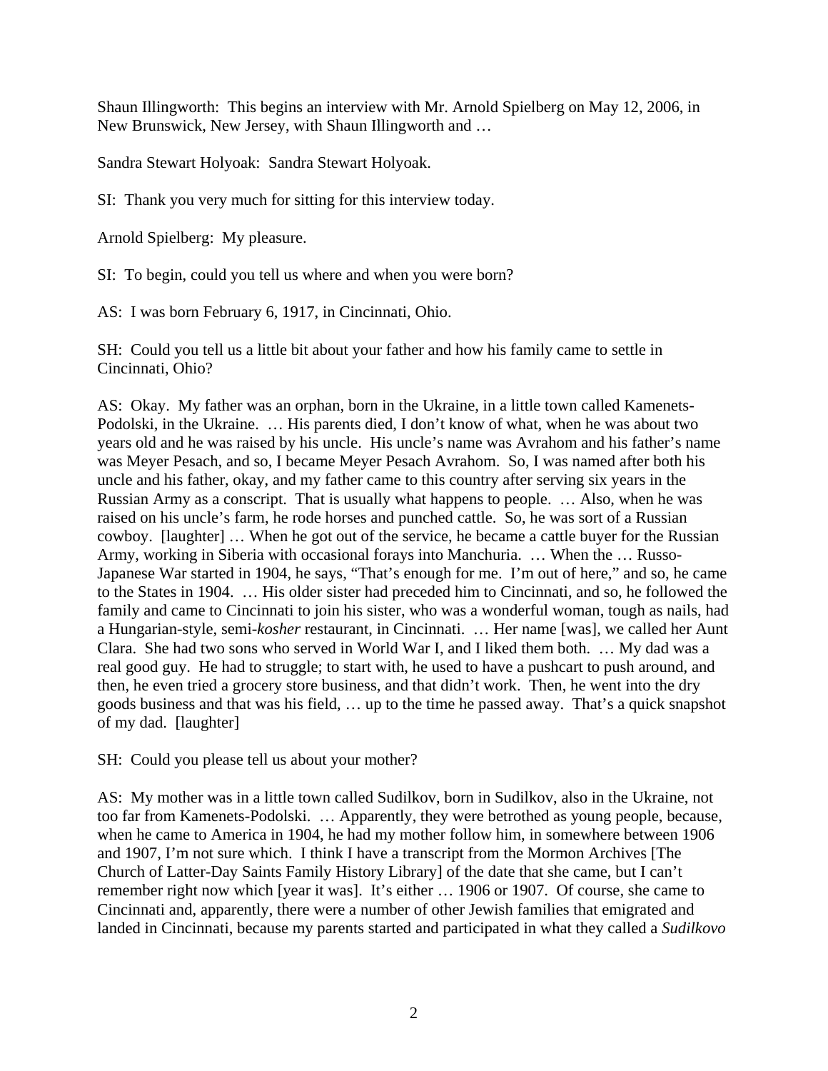Shaun Illingworth: This begins an interview with Mr. Arnold Spielberg on May 12, 2006, in New Brunswick, New Jersey, with Shaun Illingworth and …

Sandra Stewart Holyoak: Sandra Stewart Holyoak.

SI: Thank you very much for sitting for this interview today.

Arnold Spielberg: My pleasure.

SI: To begin, could you tell us where and when you were born?

AS: I was born February 6, 1917, in Cincinnati, Ohio.

SH: Could you tell us a little bit about your father and how his family came to settle in Cincinnati, Ohio?

AS: Okay. My father was an orphan, born in the Ukraine, in a little town called Kamenets-Podolski, in the Ukraine. … His parents died, I don't know of what, when he was about two years old and he was raised by his uncle. His uncle's name was Avrahom and his father's name was Meyer Pesach, and so, I became Meyer Pesach Avrahom. So, I was named after both his uncle and his father, okay, and my father came to this country after serving six years in the Russian Army as a conscript. That is usually what happens to people. … Also, when he was raised on his uncle's farm, he rode horses and punched cattle. So, he was sort of a Russian cowboy. [laughter] … When he got out of the service, he became a cattle buyer for the Russian Army, working in Siberia with occasional forays into Manchuria. … When the … Russo-Japanese War started in 1904, he says, "That's enough for me. I'm out of here," and so, he came to the States in 1904. … His older sister had preceded him to Cincinnati, and so, he followed the family and came to Cincinnati to join his sister, who was a wonderful woman, tough as nails, had a Hungarian-style, semi-*kosher* restaurant, in Cincinnati. … Her name [was], we called her Aunt Clara. She had two sons who served in World War I, and I liked them both. … My dad was a real good guy. He had to struggle; to start with, he used to have a pushcart to push around, and then, he even tried a grocery store business, and that didn't work. Then, he went into the dry goods business and that was his field, … up to the time he passed away. That's a quick snapshot of my dad. [laughter]

SH: Could you please tell us about your mother?

AS: My mother was in a little town called Sudilkov, born in Sudilkov, also in the Ukraine, not too far from Kamenets-Podolski. … Apparently, they were betrothed as young people, because, when he came to America in 1904, he had my mother follow him, in somewhere between 1906 and 1907, I'm not sure which. I think I have a transcript from the Mormon Archives [The Church of Latter-Day Saints Family History Library] of the date that she came, but I can't remember right now which [year it was]. It's either … 1906 or 1907. Of course, she came to Cincinnati and, apparently, there were a number of other Jewish families that emigrated and landed in Cincinnati, because my parents started and participated in what they called a *Sudilkovo*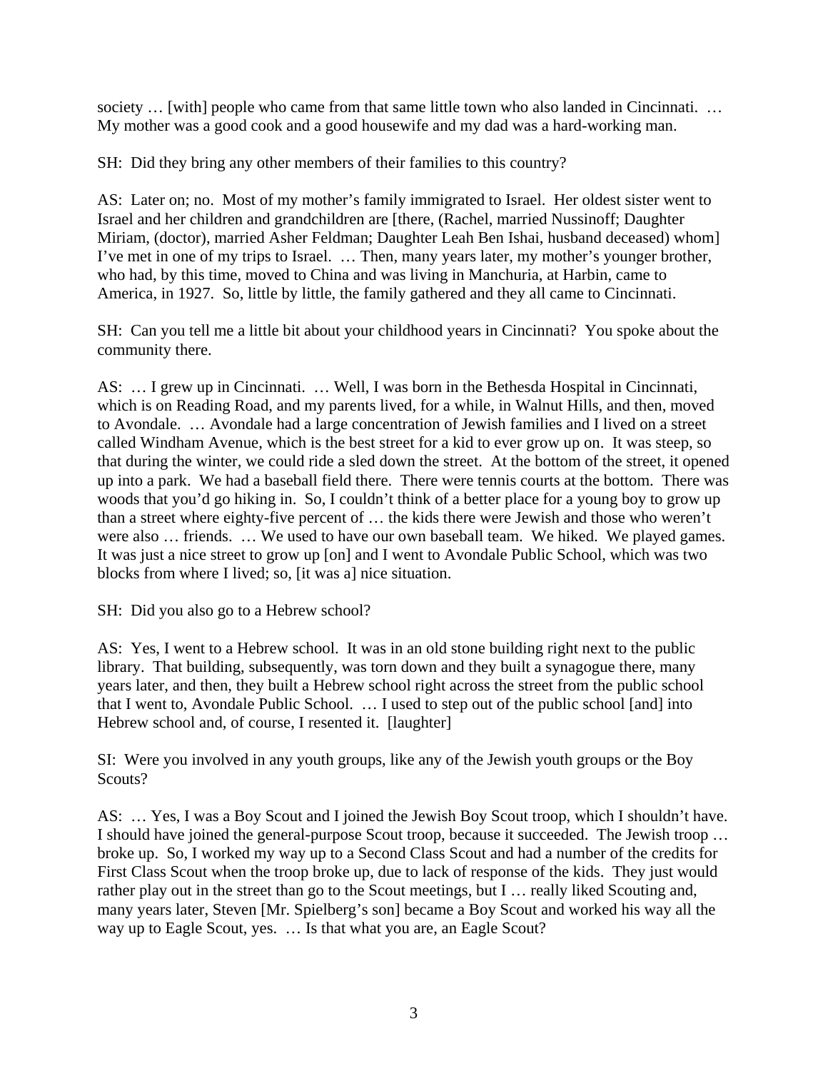society … [with] people who came from that same little town who also landed in Cincinnati. … My mother was a good cook and a good housewife and my dad was a hard-working man.

SH: Did they bring any other members of their families to this country?

AS: Later on; no. Most of my mother's family immigrated to Israel. Her oldest sister went to Israel and her children and grandchildren are [there, (Rachel, married Nussinoff; Daughter Miriam, (doctor), married Asher Feldman; Daughter Leah Ben Ishai, husband deceased) whom] I've met in one of my trips to Israel. … Then, many years later, my mother's younger brother, who had, by this time, moved to China and was living in Manchuria, at Harbin, came to America, in 1927. So, little by little, the family gathered and they all came to Cincinnati.

SH: Can you tell me a little bit about your childhood years in Cincinnati? You spoke about the community there.

AS: … I grew up in Cincinnati. … Well, I was born in the Bethesda Hospital in Cincinnati, which is on Reading Road, and my parents lived, for a while, in Walnut Hills, and then, moved to Avondale. … Avondale had a large concentration of Jewish families and I lived on a street called Windham Avenue, which is the best street for a kid to ever grow up on. It was steep, so that during the winter, we could ride a sled down the street. At the bottom of the street, it opened up into a park. We had a baseball field there. There were tennis courts at the bottom. There was woods that you'd go hiking in. So, I couldn't think of a better place for a young boy to grow up than a street where eighty-five percent of … the kids there were Jewish and those who weren't were also … friends. … We used to have our own baseball team. We hiked. We played games. It was just a nice street to grow up [on] and I went to Avondale Public School, which was two blocks from where I lived; so, [it was a] nice situation.

SH: Did you also go to a Hebrew school?

AS: Yes, I went to a Hebrew school. It was in an old stone building right next to the public library. That building, subsequently, was torn down and they built a synagogue there, many years later, and then, they built a Hebrew school right across the street from the public school that I went to, Avondale Public School. … I used to step out of the public school [and] into Hebrew school and, of course, I resented it. [laughter]

SI: Were you involved in any youth groups, like any of the Jewish youth groups or the Boy Scouts?

AS: … Yes, I was a Boy Scout and I joined the Jewish Boy Scout troop, which I shouldn't have. I should have joined the general-purpose Scout troop, because it succeeded. The Jewish troop … broke up. So, I worked my way up to a Second Class Scout and had a number of the credits for First Class Scout when the troop broke up, due to lack of response of the kids. They just would rather play out in the street than go to the Scout meetings, but I … really liked Scouting and, many years later, Steven [Mr. Spielberg's son] became a Boy Scout and worked his way all the way up to Eagle Scout, yes. … Is that what you are, an Eagle Scout?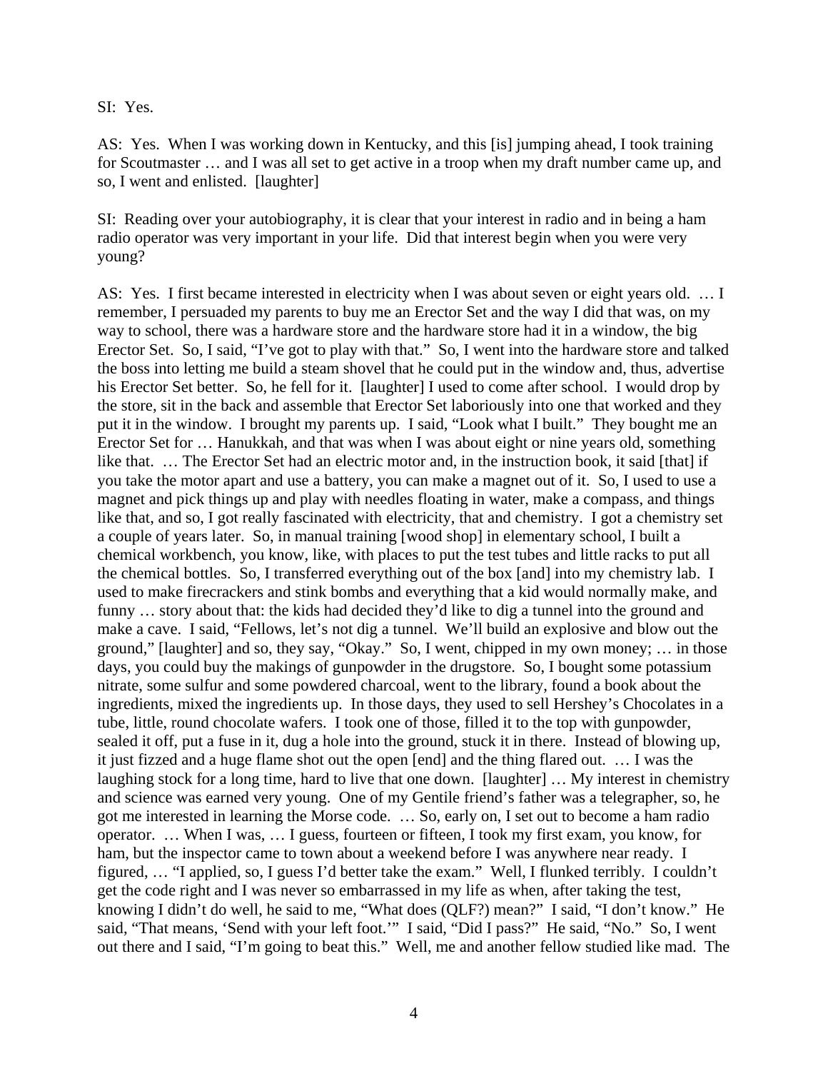SI: Yes.

AS: Yes. When I was working down in Kentucky, and this [is] jumping ahead, I took training for Scoutmaster … and I was all set to get active in a troop when my draft number came up, and so, I went and enlisted. [laughter]

SI: Reading over your autobiography, it is clear that your interest in radio and in being a ham radio operator was very important in your life. Did that interest begin when you were very young?

AS: Yes. I first became interested in electricity when I was about seven or eight years old. … I remember, I persuaded my parents to buy me an Erector Set and the way I did that was, on my way to school, there was a hardware store and the hardware store had it in a window, the big Erector Set. So, I said, "I've got to play with that." So, I went into the hardware store and talked the boss into letting me build a steam shovel that he could put in the window and, thus, advertise his Erector Set better. So, he fell for it. [laughter] I used to come after school. I would drop by the store, sit in the back and assemble that Erector Set laboriously into one that worked and they put it in the window. I brought my parents up. I said, "Look what I built." They bought me an Erector Set for … Hanukkah, and that was when I was about eight or nine years old, something like that. ... The Erector Set had an electric motor and, in the instruction book, it said [that] if you take the motor apart and use a battery, you can make a magnet out of it. So, I used to use a magnet and pick things up and play with needles floating in water, make a compass, and things like that, and so, I got really fascinated with electricity, that and chemistry. I got a chemistry set a couple of years later. So, in manual training [wood shop] in elementary school, I built a chemical workbench, you know, like, with places to put the test tubes and little racks to put all the chemical bottles. So, I transferred everything out of the box [and] into my chemistry lab. I used to make firecrackers and stink bombs and everything that a kid would normally make, and funny … story about that: the kids had decided they'd like to dig a tunnel into the ground and make a cave. I said, "Fellows, let's not dig a tunnel. We'll build an explosive and blow out the ground," [laughter] and so, they say, "Okay." So, I went, chipped in my own money; … in those days, you could buy the makings of gunpowder in the drugstore. So, I bought some potassium nitrate, some sulfur and some powdered charcoal, went to the library, found a book about the ingredients, mixed the ingredients up. In those days, they used to sell Hershey's Chocolates in a tube, little, round chocolate wafers. I took one of those, filled it to the top with gunpowder, sealed it off, put a fuse in it, dug a hole into the ground, stuck it in there. Instead of blowing up, it just fizzed and a huge flame shot out the open [end] and the thing flared out. … I was the laughing stock for a long time, hard to live that one down. [laughter] … My interest in chemistry and science was earned very young. One of my Gentile friend's father was a telegrapher, so, he got me interested in learning the Morse code. … So, early on, I set out to become a ham radio operator. … When I was, … I guess, fourteen or fifteen, I took my first exam, you know, for ham, but the inspector came to town about a weekend before I was anywhere near ready. I figured, … "I applied, so, I guess I'd better take the exam." Well, I flunked terribly. I couldn't get the code right and I was never so embarrassed in my life as when, after taking the test, knowing I didn't do well, he said to me, "What does (QLF?) mean?" I said, "I don't know." He said, "That means, 'Send with your left foot.'" I said, "Did I pass?" He said, "No." So, I went out there and I said, "I'm going to beat this." Well, me and another fellow studied like mad. The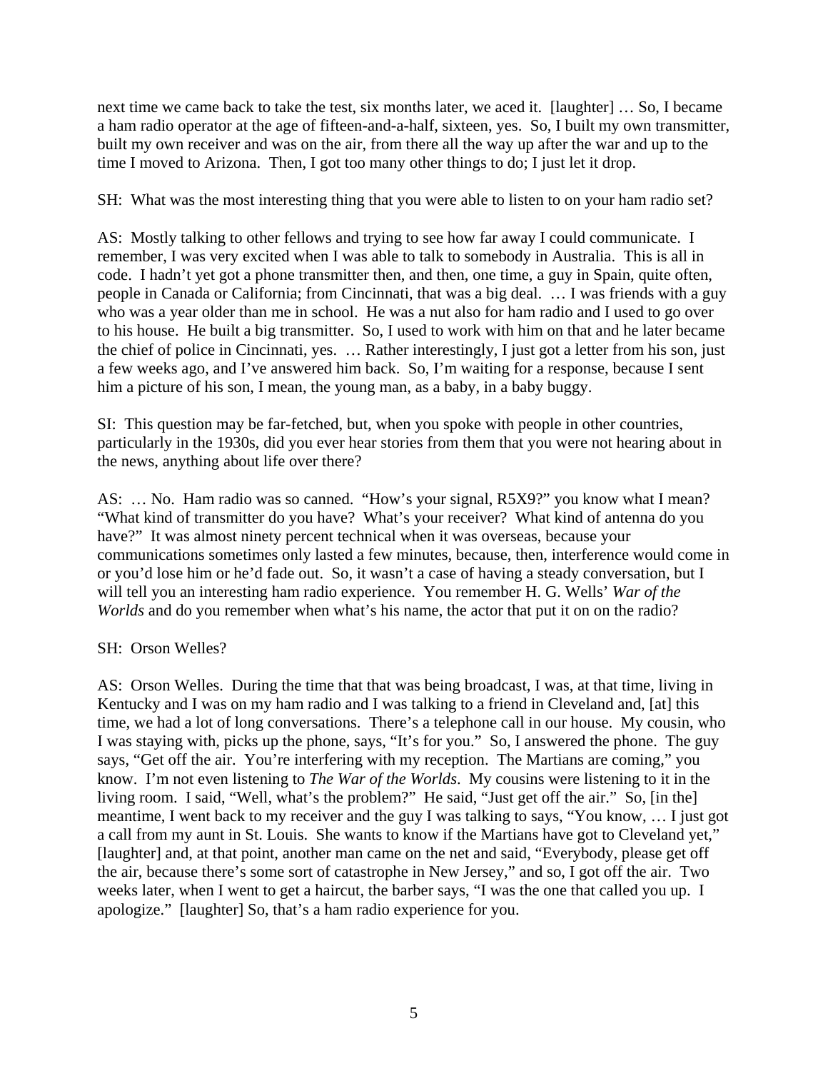next time we came back to take the test, six months later, we aced it. [laughter] … So, I became a ham radio operator at the age of fifteen-and-a-half, sixteen, yes. So, I built my own transmitter, built my own receiver and was on the air, from there all the way up after the war and up to the time I moved to Arizona. Then, I got too many other things to do; I just let it drop.

SH: What was the most interesting thing that you were able to listen to on your ham radio set?

AS: Mostly talking to other fellows and trying to see how far away I could communicate. I remember, I was very excited when I was able to talk to somebody in Australia. This is all in code. I hadn't yet got a phone transmitter then, and then, one time, a guy in Spain, quite often, people in Canada or California; from Cincinnati, that was a big deal. … I was friends with a guy who was a year older than me in school. He was a nut also for ham radio and I used to go over to his house. He built a big transmitter. So, I used to work with him on that and he later became the chief of police in Cincinnati, yes. … Rather interestingly, I just got a letter from his son, just a few weeks ago, and I've answered him back. So, I'm waiting for a response, because I sent him a picture of his son, I mean, the young man, as a baby, in a baby buggy.

SI: This question may be far-fetched, but, when you spoke with people in other countries, particularly in the 1930s, did you ever hear stories from them that you were not hearing about in the news, anything about life over there?

AS: … No. Ham radio was so canned. "How's your signal, R5X9?" you know what I mean? "What kind of transmitter do you have? What's your receiver? What kind of antenna do you have?" It was almost ninety percent technical when it was overseas, because your communications sometimes only lasted a few minutes, because, then, interference would come in or you'd lose him or he'd fade out. So, it wasn't a case of having a steady conversation, but I will tell you an interesting ham radio experience. You remember H. G. Wells' *War of the Worlds* and do you remember when what's his name, the actor that put it on on the radio?

### SH: Orson Welles?

AS: Orson Welles. During the time that that was being broadcast, I was, at that time, living in Kentucky and I was on my ham radio and I was talking to a friend in Cleveland and, [at] this time, we had a lot of long conversations. There's a telephone call in our house. My cousin, who I was staying with, picks up the phone, says, "It's for you." So, I answered the phone. The guy says, "Get off the air. You're interfering with my reception. The Martians are coming," you know. I'm not even listening to *The War of the Worlds*. My cousins were listening to it in the living room. I said, "Well, what's the problem?" He said, "Just get off the air." So, [in the] meantime, I went back to my receiver and the guy I was talking to says, "You know, … I just got a call from my aunt in St. Louis. She wants to know if the Martians have got to Cleveland yet," [laughter] and, at that point, another man came on the net and said, "Everybody, please get off the air, because there's some sort of catastrophe in New Jersey," and so, I got off the air. Two weeks later, when I went to get a haircut, the barber says, "I was the one that called you up. I apologize." [laughter] So, that's a ham radio experience for you.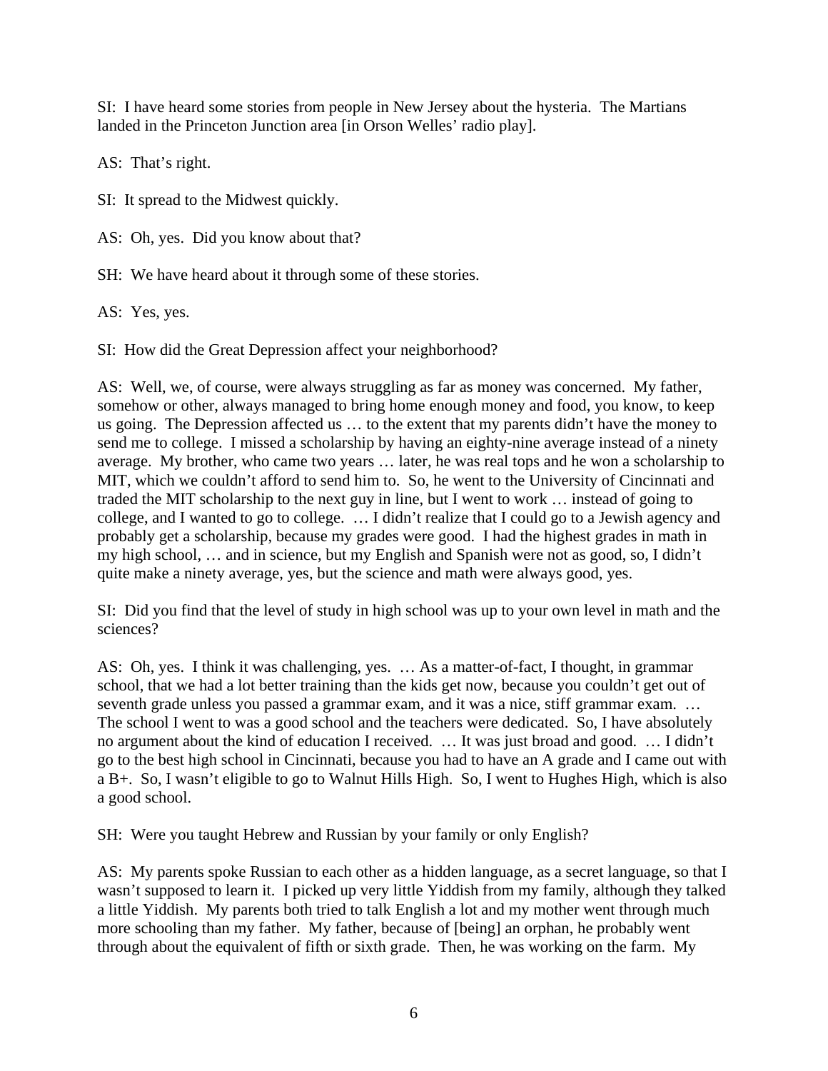SI: I have heard some stories from people in New Jersey about the hysteria. The Martians landed in the Princeton Junction area [in Orson Welles' radio play].

AS: That's right.

SI: It spread to the Midwest quickly.

AS: Oh, yes. Did you know about that?

SH: We have heard about it through some of these stories.

AS: Yes, yes.

SI: How did the Great Depression affect your neighborhood?

AS: Well, we, of course, were always struggling as far as money was concerned. My father, somehow or other, always managed to bring home enough money and food, you know, to keep us going. The Depression affected us … to the extent that my parents didn't have the money to send me to college. I missed a scholarship by having an eighty-nine average instead of a ninety average. My brother, who came two years … later, he was real tops and he won a scholarship to MIT, which we couldn't afford to send him to. So, he went to the University of Cincinnati and traded the MIT scholarship to the next guy in line, but I went to work … instead of going to college, and I wanted to go to college. … I didn't realize that I could go to a Jewish agency and probably get a scholarship, because my grades were good. I had the highest grades in math in my high school, … and in science, but my English and Spanish were not as good, so, I didn't quite make a ninety average, yes, but the science and math were always good, yes.

SI: Did you find that the level of study in high school was up to your own level in math and the sciences?

AS: Oh, yes. I think it was challenging, yes. … As a matter-of-fact, I thought, in grammar school, that we had a lot better training than the kids get now, because you couldn't get out of seventh grade unless you passed a grammar exam, and it was a nice, stiff grammar exam. ... The school I went to was a good school and the teachers were dedicated. So, I have absolutely no argument about the kind of education I received. … It was just broad and good. … I didn't go to the best high school in Cincinnati, because you had to have an A grade and I came out with a B+. So, I wasn't eligible to go to Walnut Hills High. So, I went to Hughes High, which is also a good school.

SH: Were you taught Hebrew and Russian by your family or only English?

AS: My parents spoke Russian to each other as a hidden language, as a secret language, so that I wasn't supposed to learn it. I picked up very little Yiddish from my family, although they talked a little Yiddish. My parents both tried to talk English a lot and my mother went through much more schooling than my father. My father, because of [being] an orphan, he probably went through about the equivalent of fifth or sixth grade. Then, he was working on the farm. My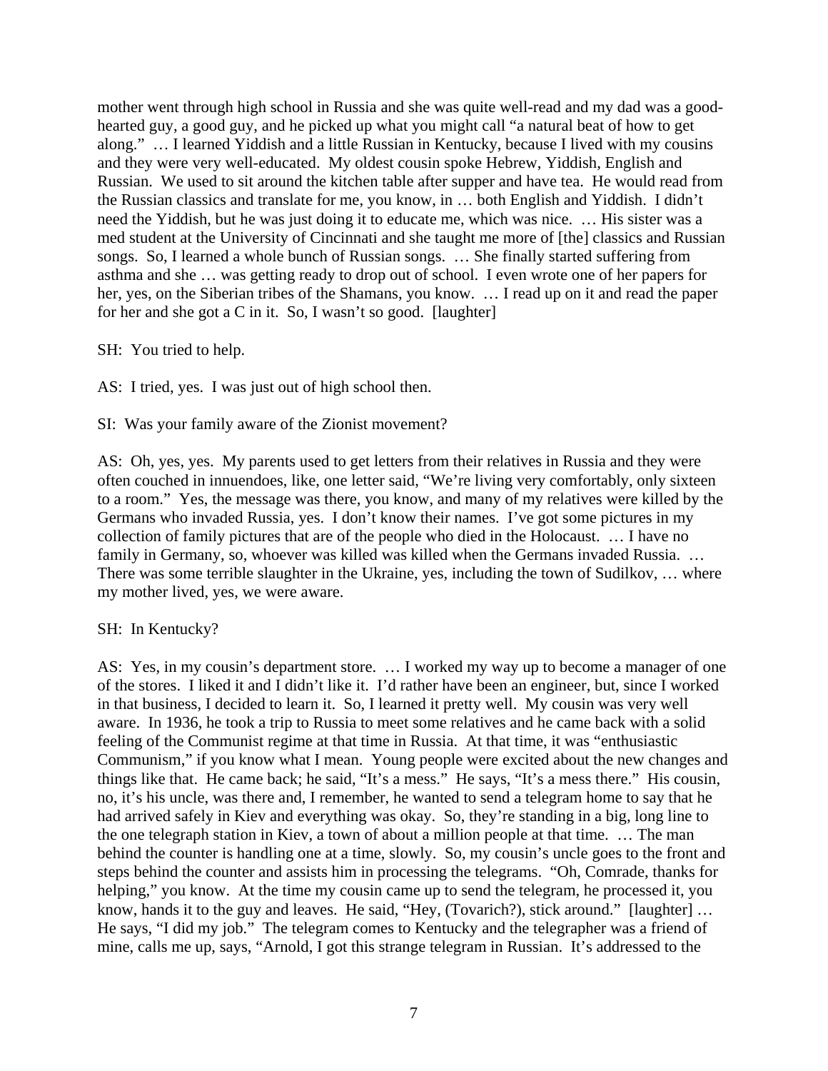mother went through high school in Russia and she was quite well-read and my dad was a goodhearted guy, a good guy, and he picked up what you might call "a natural beat of how to get along." … I learned Yiddish and a little Russian in Kentucky, because I lived with my cousins and they were very well-educated. My oldest cousin spoke Hebrew, Yiddish, English and Russian. We used to sit around the kitchen table after supper and have tea. He would read from the Russian classics and translate for me, you know, in … both English and Yiddish. I didn't need the Yiddish, but he was just doing it to educate me, which was nice. … His sister was a med student at the University of Cincinnati and she taught me more of [the] classics and Russian songs. So, I learned a whole bunch of Russian songs. … She finally started suffering from asthma and she … was getting ready to drop out of school. I even wrote one of her papers for her, yes, on the Siberian tribes of the Shamans, you know. … I read up on it and read the paper for her and she got a C in it. So, I wasn't so good. [laughter]

SH: You tried to help.

AS: I tried, yes. I was just out of high school then.

SI: Was your family aware of the Zionist movement?

AS: Oh, yes, yes. My parents used to get letters from their relatives in Russia and they were often couched in innuendoes, like, one letter said, "We're living very comfortably, only sixteen to a room." Yes, the message was there, you know, and many of my relatives were killed by the Germans who invaded Russia, yes. I don't know their names. I've got some pictures in my collection of family pictures that are of the people who died in the Holocaust. … I have no family in Germany, so, whoever was killed was killed when the Germans invaded Russia. ... There was some terrible slaughter in the Ukraine, yes, including the town of Sudilkov, … where my mother lived, yes, we were aware.

### SH: In Kentucky?

AS: Yes, in my cousin's department store. … I worked my way up to become a manager of one of the stores. I liked it and I didn't like it. I'd rather have been an engineer, but, since I worked in that business, I decided to learn it. So, I learned it pretty well. My cousin was very well aware. In 1936, he took a trip to Russia to meet some relatives and he came back with a solid feeling of the Communist regime at that time in Russia. At that time, it was "enthusiastic Communism," if you know what I mean. Young people were excited about the new changes and things like that. He came back; he said, "It's a mess." He says, "It's a mess there." His cousin, no, it's his uncle, was there and, I remember, he wanted to send a telegram home to say that he had arrived safely in Kiev and everything was okay. So, they're standing in a big, long line to the one telegraph station in Kiev, a town of about a million people at that time. … The man behind the counter is handling one at a time, slowly. So, my cousin's uncle goes to the front and steps behind the counter and assists him in processing the telegrams. "Oh, Comrade, thanks for helping," you know. At the time my cousin came up to send the telegram, he processed it, you know, hands it to the guy and leaves. He said, "Hey, (Tovarich?), stick around." [laughter] ... He says, "I did my job." The telegram comes to Kentucky and the telegrapher was a friend of mine, calls me up, says, "Arnold, I got this strange telegram in Russian. It's addressed to the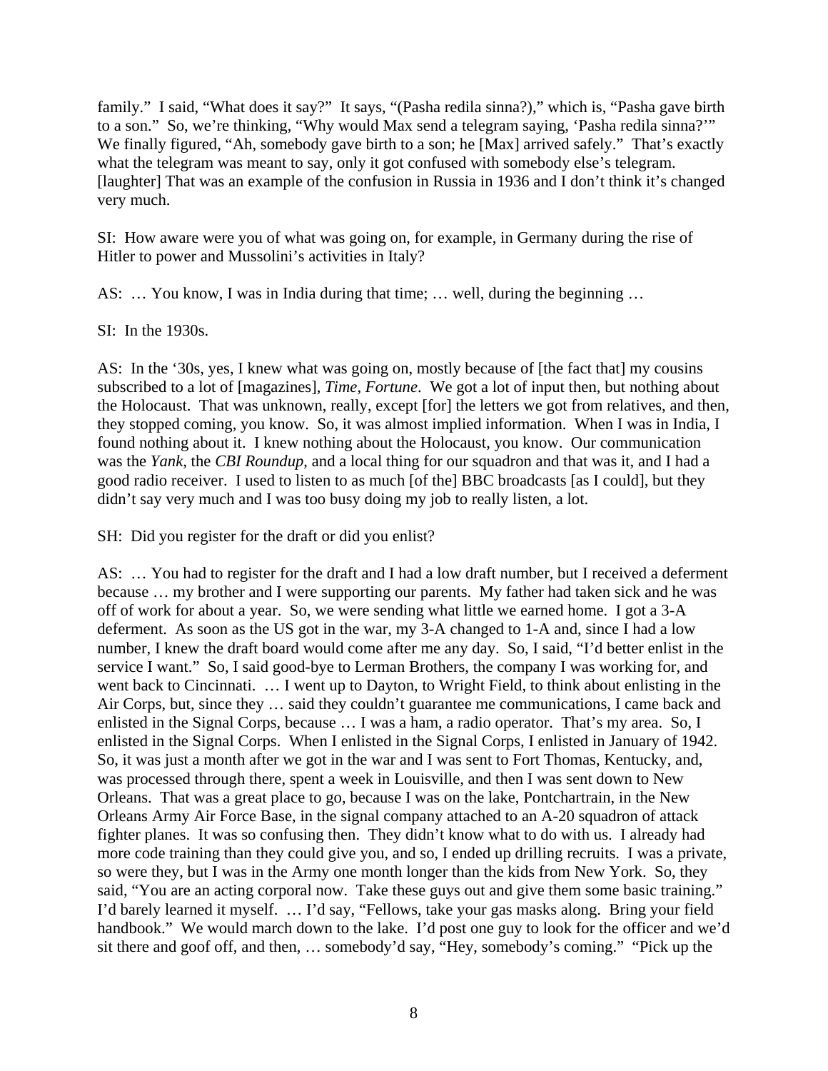family." I said, "What does it say?" It says, "(Pasha redila sinna?)," which is, "Pasha gave birth to a son." So, we're thinking, "Why would Max send a telegram saying, 'Pasha redila sinna?'" We finally figured, "Ah, somebody gave birth to a son; he [Max] arrived safely." That's exactly what the telegram was meant to say, only it got confused with somebody else's telegram. [laughter] That was an example of the confusion in Russia in 1936 and I don't think it's changed very much.

SI: How aware were you of what was going on, for example, in Germany during the rise of Hitler to power and Mussolini's activities in Italy?

AS: … You know, I was in India during that time; … well, during the beginning …

SI: In the 1930s.

AS: In the '30s, yes, I knew what was going on, mostly because of [the fact that] my cousins subscribed to a lot of [magazines], *Time*, *Fortune*. We got a lot of input then, but nothing about the Holocaust. That was unknown, really, except [for] the letters we got from relatives, and then, they stopped coming, you know. So, it was almost implied information. When I was in India, I found nothing about it. I knew nothing about the Holocaust, you know. Our communication was the *Yank*, the *CBI Roundup*, and a local thing for our squadron and that was it, and I had a good radio receiver. I used to listen to as much [of the] BBC broadcasts [as I could], but they didn't say very much and I was too busy doing my job to really listen, a lot.

SH: Did you register for the draft or did you enlist?

AS: … You had to register for the draft and I had a low draft number, but I received a deferment because … my brother and I were supporting our parents. My father had taken sick and he was off of work for about a year. So, we were sending what little we earned home. I got a 3-A deferment. As soon as the US got in the war, my 3-A changed to 1-A and, since I had a low number, I knew the draft board would come after me any day. So, I said, "I'd better enlist in the service I want." So, I said good-bye to Lerman Brothers, the company I was working for, and went back to Cincinnati. … I went up to Dayton, to Wright Field, to think about enlisting in the Air Corps, but, since they … said they couldn't guarantee me communications, I came back and enlisted in the Signal Corps, because … I was a ham, a radio operator. That's my area. So, I enlisted in the Signal Corps. When I enlisted in the Signal Corps, I enlisted in January of 1942. So, it was just a month after we got in the war and I was sent to Fort Thomas, Kentucky, and, was processed through there, spent a week in Louisville, and then I was sent down to New Orleans. That was a great place to go, because I was on the lake, Pontchartrain, in the New Orleans Army Air Force Base, in the signal company attached to an A-20 squadron of attack fighter planes. It was so confusing then. They didn't know what to do with us. I already had more code training than they could give you, and so, I ended up drilling recruits. I was a private, so were they, but I was in the Army one month longer than the kids from New York. So, they said, "You are an acting corporal now. Take these guys out and give them some basic training." I'd barely learned it myself. … I'd say, "Fellows, take your gas masks along. Bring your field handbook." We would march down to the lake. I'd post one guy to look for the officer and we'd sit there and goof off, and then, … somebody'd say, "Hey, somebody's coming." "Pick up the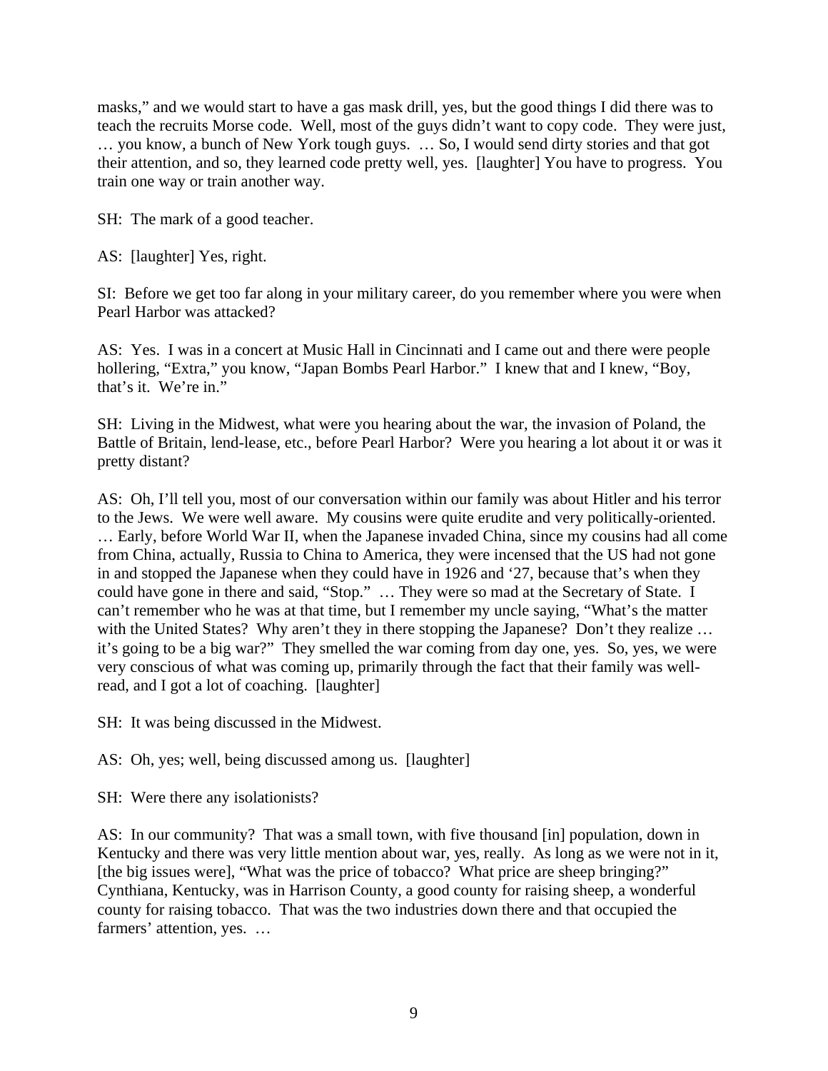masks," and we would start to have a gas mask drill, yes, but the good things I did there was to teach the recruits Morse code. Well, most of the guys didn't want to copy code. They were just, … you know, a bunch of New York tough guys. … So, I would send dirty stories and that got their attention, and so, they learned code pretty well, yes. [laughter] You have to progress. You train one way or train another way.

SH: The mark of a good teacher.

AS: [laughter] Yes, right.

SI: Before we get too far along in your military career, do you remember where you were when Pearl Harbor was attacked?

AS: Yes. I was in a concert at Music Hall in Cincinnati and I came out and there were people hollering, "Extra," you know, "Japan Bombs Pearl Harbor." I knew that and I knew, "Boy, that's it. We're in."

SH: Living in the Midwest, what were you hearing about the war, the invasion of Poland, the Battle of Britain, lend-lease, etc., before Pearl Harbor? Were you hearing a lot about it or was it pretty distant?

AS: Oh, I'll tell you, most of our conversation within our family was about Hitler and his terror to the Jews. We were well aware. My cousins were quite erudite and very politically-oriented. … Early, before World War II, when the Japanese invaded China, since my cousins had all come from China, actually, Russia to China to America, they were incensed that the US had not gone in and stopped the Japanese when they could have in 1926 and '27, because that's when they could have gone in there and said, "Stop." … They were so mad at the Secretary of State. I can't remember who he was at that time, but I remember my uncle saying, "What's the matter with the United States? Why aren't they in there stopping the Japanese? Don't they realize ... it's going to be a big war?" They smelled the war coming from day one, yes. So, yes, we were very conscious of what was coming up, primarily through the fact that their family was wellread, and I got a lot of coaching. [laughter]

SH: It was being discussed in the Midwest.

AS: Oh, yes; well, being discussed among us. [laughter]

SH: Were there any isolationists?

AS: In our community? That was a small town, with five thousand [in] population, down in Kentucky and there was very little mention about war, yes, really. As long as we were not in it, [the big issues were], "What was the price of tobacco? What price are sheep bringing?" Cynthiana, Kentucky, was in Harrison County, a good county for raising sheep, a wonderful county for raising tobacco. That was the two industries down there and that occupied the farmers' attention, yes. …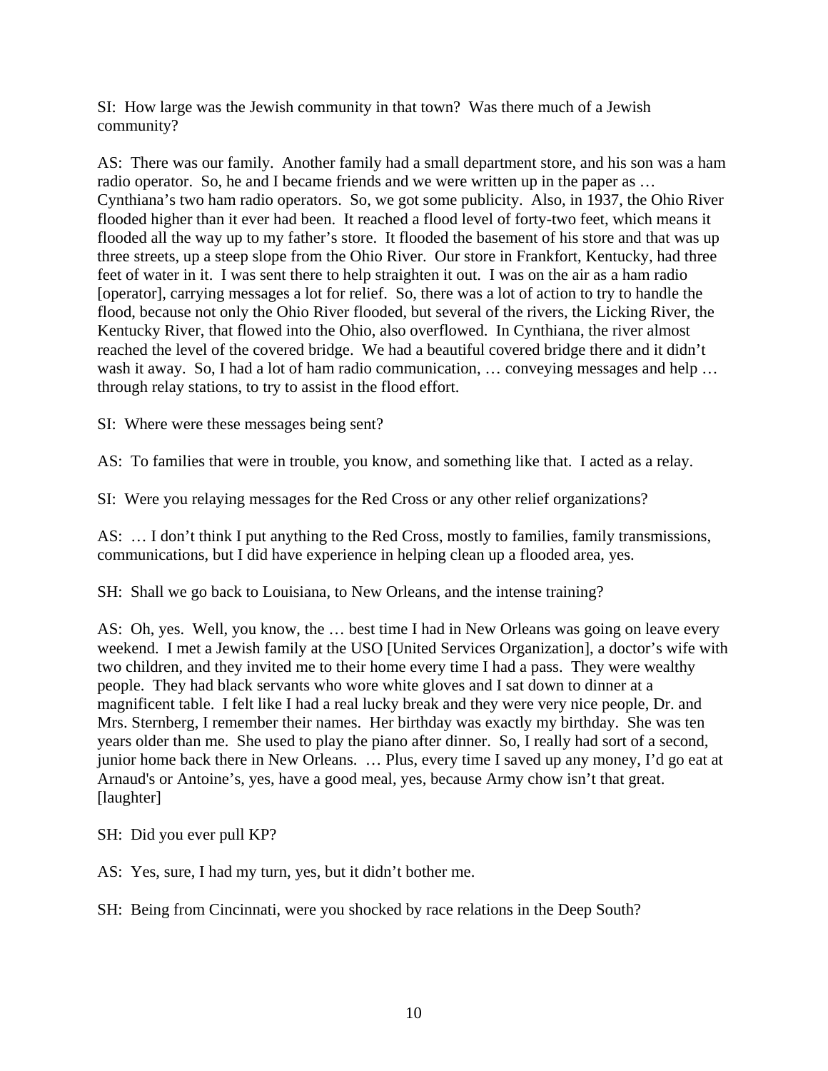SI: How large was the Jewish community in that town? Was there much of a Jewish community?

AS: There was our family. Another family had a small department store, and his son was a ham radio operator. So, he and I became friends and we were written up in the paper as … Cynthiana's two ham radio operators. So, we got some publicity. Also, in 1937, the Ohio River flooded higher than it ever had been. It reached a flood level of forty-two feet, which means it flooded all the way up to my father's store. It flooded the basement of his store and that was up three streets, up a steep slope from the Ohio River. Our store in Frankfort, Kentucky, had three feet of water in it. I was sent there to help straighten it out. I was on the air as a ham radio [operator], carrying messages a lot for relief. So, there was a lot of action to try to handle the flood, because not only the Ohio River flooded, but several of the rivers, the Licking River, the Kentucky River, that flowed into the Ohio, also overflowed. In Cynthiana, the river almost reached the level of the covered bridge. We had a beautiful covered bridge there and it didn't wash it away. So, I had a lot of ham radio communication, ... conveying messages and help ... through relay stations, to try to assist in the flood effort.

SI: Where were these messages being sent?

AS: To families that were in trouble, you know, and something like that. I acted as a relay.

SI: Were you relaying messages for the Red Cross or any other relief organizations?

AS: … I don't think I put anything to the Red Cross, mostly to families, family transmissions, communications, but I did have experience in helping clean up a flooded area, yes.

SH: Shall we go back to Louisiana, to New Orleans, and the intense training?

AS: Oh, yes. Well, you know, the … best time I had in New Orleans was going on leave every weekend. I met a Jewish family at the USO [United Services Organization], a doctor's wife with two children, and they invited me to their home every time I had a pass. They were wealthy people. They had black servants who wore white gloves and I sat down to dinner at a magnificent table. I felt like I had a real lucky break and they were very nice people, Dr. and Mrs. Sternberg, I remember their names. Her birthday was exactly my birthday. She was ten years older than me. She used to play the piano after dinner. So, I really had sort of a second, junior home back there in New Orleans. … Plus, every time I saved up any money, I'd go eat at Arnaud's or Antoine's, yes, have a good meal, yes, because Army chow isn't that great. [laughter]

SH: Did you ever pull KP?

AS: Yes, sure, I had my turn, yes, but it didn't bother me.

SH: Being from Cincinnati, were you shocked by race relations in the Deep South?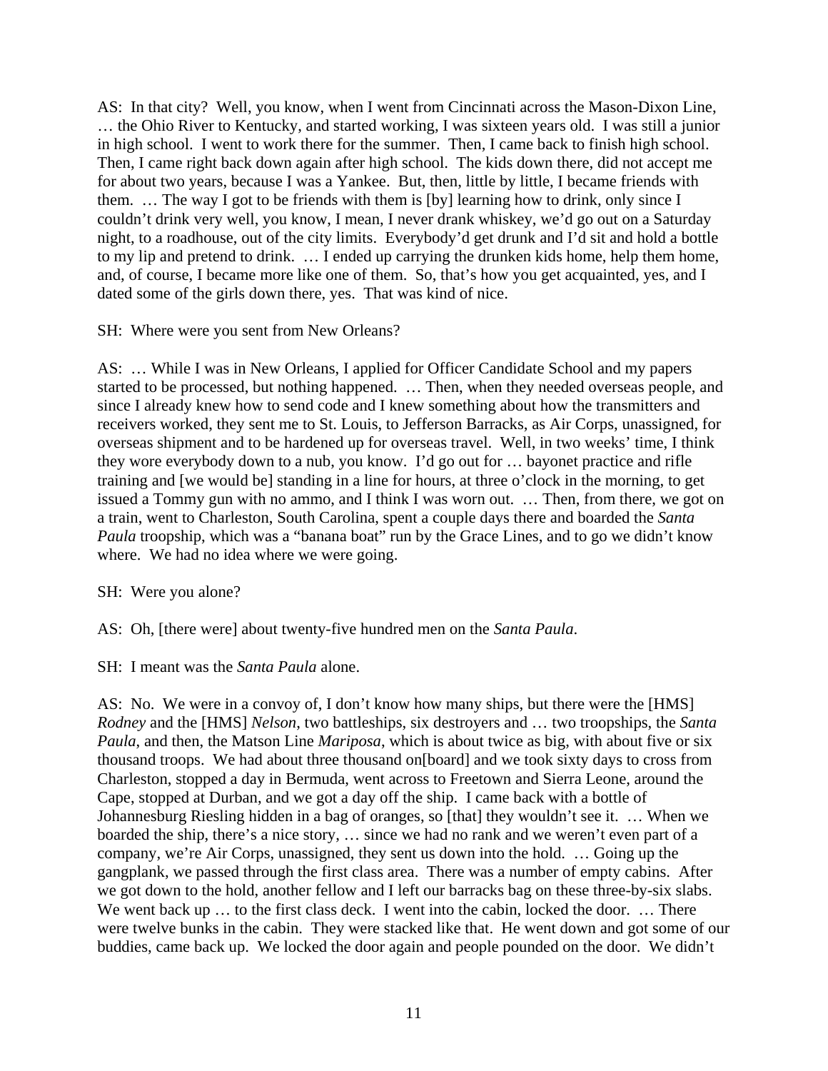AS: In that city? Well, you know, when I went from Cincinnati across the Mason-Dixon Line, … the Ohio River to Kentucky, and started working, I was sixteen years old. I was still a junior in high school. I went to work there for the summer. Then, I came back to finish high school. Then, I came right back down again after high school. The kids down there, did not accept me for about two years, because I was a Yankee. But, then, little by little, I became friends with them. … The way I got to be friends with them is [by] learning how to drink, only since I couldn't drink very well, you know, I mean, I never drank whiskey, we'd go out on a Saturday night, to a roadhouse, out of the city limits. Everybody'd get drunk and I'd sit and hold a bottle to my lip and pretend to drink. … I ended up carrying the drunken kids home, help them home, and, of course, I became more like one of them. So, that's how you get acquainted, yes, and I dated some of the girls down there, yes. That was kind of nice.

SH: Where were you sent from New Orleans?

AS: … While I was in New Orleans, I applied for Officer Candidate School and my papers started to be processed, but nothing happened. … Then, when they needed overseas people, and since I already knew how to send code and I knew something about how the transmitters and receivers worked, they sent me to St. Louis, to Jefferson Barracks, as Air Corps, unassigned, for overseas shipment and to be hardened up for overseas travel. Well, in two weeks' time, I think they wore everybody down to a nub, you know. I'd go out for … bayonet practice and rifle training and [we would be] standing in a line for hours, at three o'clock in the morning, to get issued a Tommy gun with no ammo, and I think I was worn out. … Then, from there, we got on a train, went to Charleston, South Carolina, spent a couple days there and boarded the *Santa Paula* troopship, which was a "banana boat" run by the Grace Lines, and to go we didn't know where. We had no idea where we were going.

SH: Were you alone?

AS: Oh, [there were] about twenty-five hundred men on the *Santa Paula*.

SH: I meant was the *Santa Paula* alone.

AS: No. We were in a convoy of, I don't know how many ships, but there were the [HMS] *Rodney* and the [HMS] *Nelson*, two battleships, six destroyers and … two troopships, the *Santa Paula*, and then, the Matson Line *Mariposa*, which is about twice as big, with about five or six thousand troops. We had about three thousand on[board] and we took sixty days to cross from Charleston, stopped a day in Bermuda, went across to Freetown and Sierra Leone, around the Cape, stopped at Durban, and we got a day off the ship. I came back with a bottle of Johannesburg Riesling hidden in a bag of oranges, so [that] they wouldn't see it. … When we boarded the ship, there's a nice story, … since we had no rank and we weren't even part of a company, we're Air Corps, unassigned, they sent us down into the hold. … Going up the gangplank, we passed through the first class area. There was a number of empty cabins. After we got down to the hold, another fellow and I left our barracks bag on these three-by-six slabs. We went back up ... to the first class deck. I went into the cabin, locked the door. ... There were twelve bunks in the cabin. They were stacked like that. He went down and got some of our buddies, came back up. We locked the door again and people pounded on the door. We didn't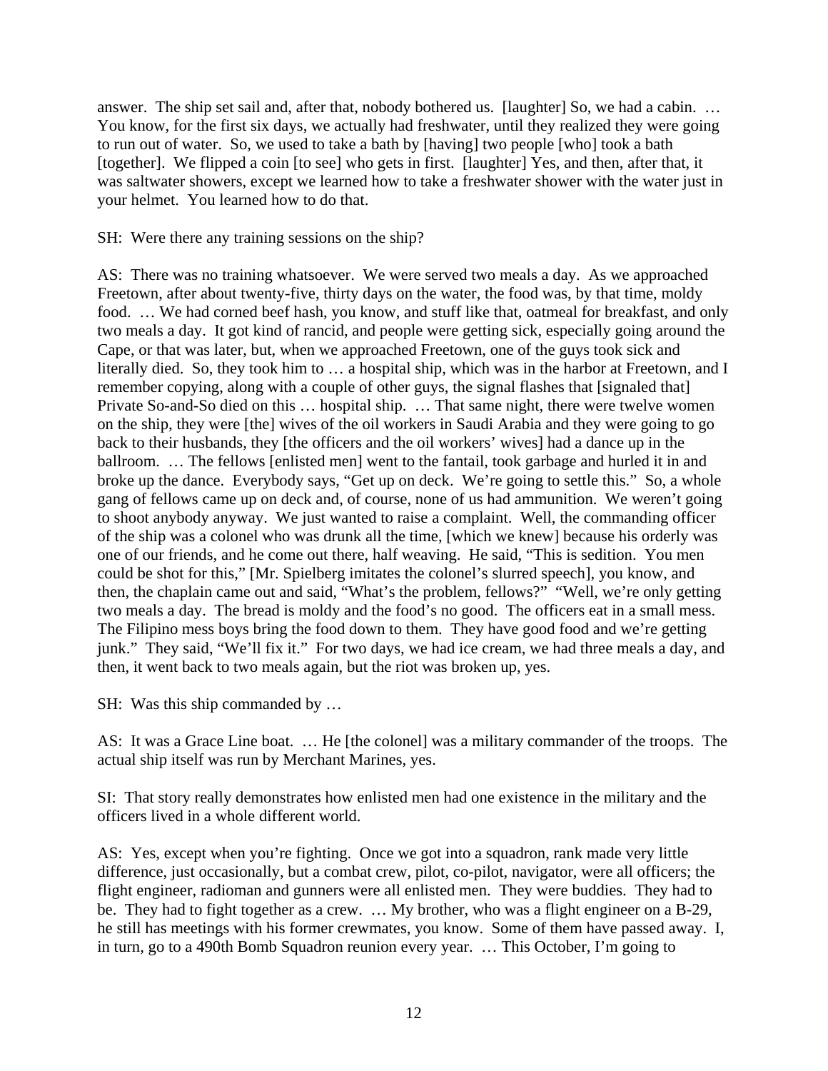answer. The ship set sail and, after that, nobody bothered us. [laughter] So, we had a cabin. … You know, for the first six days, we actually had freshwater, until they realized they were going to run out of water. So, we used to take a bath by [having] two people [who] took a bath [together]. We flipped a coin [to see] who gets in first. [laughter] Yes, and then, after that, it was saltwater showers, except we learned how to take a freshwater shower with the water just in your helmet. You learned how to do that.

SH: Were there any training sessions on the ship?

AS: There was no training whatsoever. We were served two meals a day. As we approached Freetown, after about twenty-five, thirty days on the water, the food was, by that time, moldy food. … We had corned beef hash, you know, and stuff like that, oatmeal for breakfast, and only two meals a day. It got kind of rancid, and people were getting sick, especially going around the Cape, or that was later, but, when we approached Freetown, one of the guys took sick and literally died. So, they took him to … a hospital ship, which was in the harbor at Freetown, and I remember copying, along with a couple of other guys, the signal flashes that [signaled that] Private So-and-So died on this … hospital ship. … That same night, there were twelve women on the ship, they were [the] wives of the oil workers in Saudi Arabia and they were going to go back to their husbands, they [the officers and the oil workers' wives] had a dance up in the ballroom. ... The fellows [enlisted men] went to the fantail, took garbage and hurled it in and broke up the dance. Everybody says, "Get up on deck. We're going to settle this." So, a whole gang of fellows came up on deck and, of course, none of us had ammunition. We weren't going to shoot anybody anyway. We just wanted to raise a complaint. Well, the commanding officer of the ship was a colonel who was drunk all the time, [which we knew] because his orderly was one of our friends, and he come out there, half weaving. He said, "This is sedition. You men could be shot for this," [Mr. Spielberg imitates the colonel's slurred speech], you know, and then, the chaplain came out and said, "What's the problem, fellows?" "Well, we're only getting two meals a day. The bread is moldy and the food's no good. The officers eat in a small mess. The Filipino mess boys bring the food down to them. They have good food and we're getting junk." They said, "We'll fix it." For two days, we had ice cream, we had three meals a day, and then, it went back to two meals again, but the riot was broken up, yes.

SH: Was this ship commanded by …

AS: It was a Grace Line boat. … He [the colonel] was a military commander of the troops. The actual ship itself was run by Merchant Marines, yes.

SI: That story really demonstrates how enlisted men had one existence in the military and the officers lived in a whole different world.

AS: Yes, except when you're fighting. Once we got into a squadron, rank made very little difference, just occasionally, but a combat crew, pilot, co-pilot, navigator, were all officers; the flight engineer, radioman and gunners were all enlisted men. They were buddies. They had to be. They had to fight together as a crew. ... My brother, who was a flight engineer on a B-29, he still has meetings with his former crewmates, you know. Some of them have passed away. I, in turn, go to a 490th Bomb Squadron reunion every year. … This October, I'm going to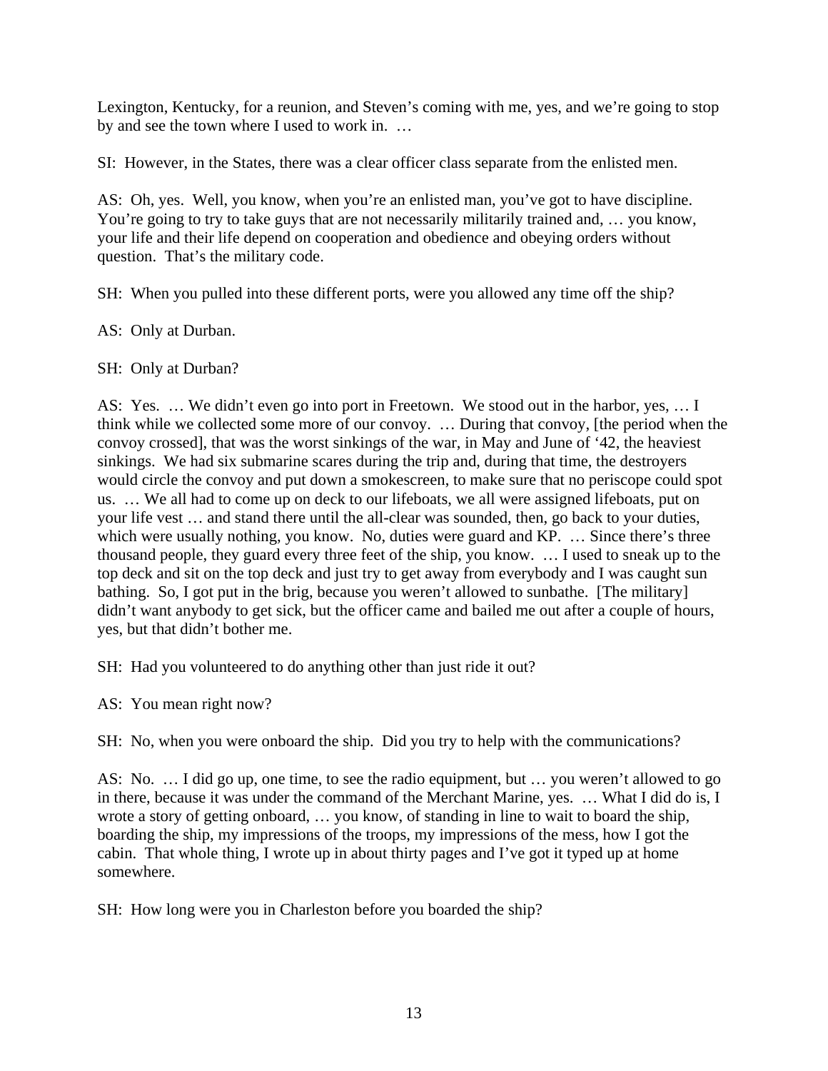Lexington, Kentucky, for a reunion, and Steven's coming with me, yes, and we're going to stop by and see the town where I used to work in. …

SI: However, in the States, there was a clear officer class separate from the enlisted men.

AS: Oh, yes. Well, you know, when you're an enlisted man, you've got to have discipline. You're going to try to take guys that are not necessarily militarily trained and, ... you know, your life and their life depend on cooperation and obedience and obeying orders without question. That's the military code.

SH: When you pulled into these different ports, were you allowed any time off the ship?

AS: Only at Durban.

SH: Only at Durban?

AS: Yes. … We didn't even go into port in Freetown. We stood out in the harbor, yes, … I think while we collected some more of our convoy. … During that convoy, [the period when the convoy crossed], that was the worst sinkings of the war, in May and June of '42, the heaviest sinkings. We had six submarine scares during the trip and, during that time, the destroyers would circle the convoy and put down a smokescreen, to make sure that no periscope could spot us. … We all had to come up on deck to our lifeboats, we all were assigned lifeboats, put on your life vest … and stand there until the all-clear was sounded, then, go back to your duties, which were usually nothing, you know. No, duties were guard and KP. ... Since there's three thousand people, they guard every three feet of the ship, you know. … I used to sneak up to the top deck and sit on the top deck and just try to get away from everybody and I was caught sun bathing. So, I got put in the brig, because you weren't allowed to sunbathe. [The military] didn't want anybody to get sick, but the officer came and bailed me out after a couple of hours, yes, but that didn't bother me.

SH: Had you volunteered to do anything other than just ride it out?

AS: You mean right now?

SH: No, when you were onboard the ship. Did you try to help with the communications?

AS: No. … I did go up, one time, to see the radio equipment, but … you weren't allowed to go in there, because it was under the command of the Merchant Marine, yes. … What I did do is, I wrote a story of getting onboard, … you know, of standing in line to wait to board the ship, boarding the ship, my impressions of the troops, my impressions of the mess, how I got the cabin. That whole thing, I wrote up in about thirty pages and I've got it typed up at home somewhere.

SH: How long were you in Charleston before you boarded the ship?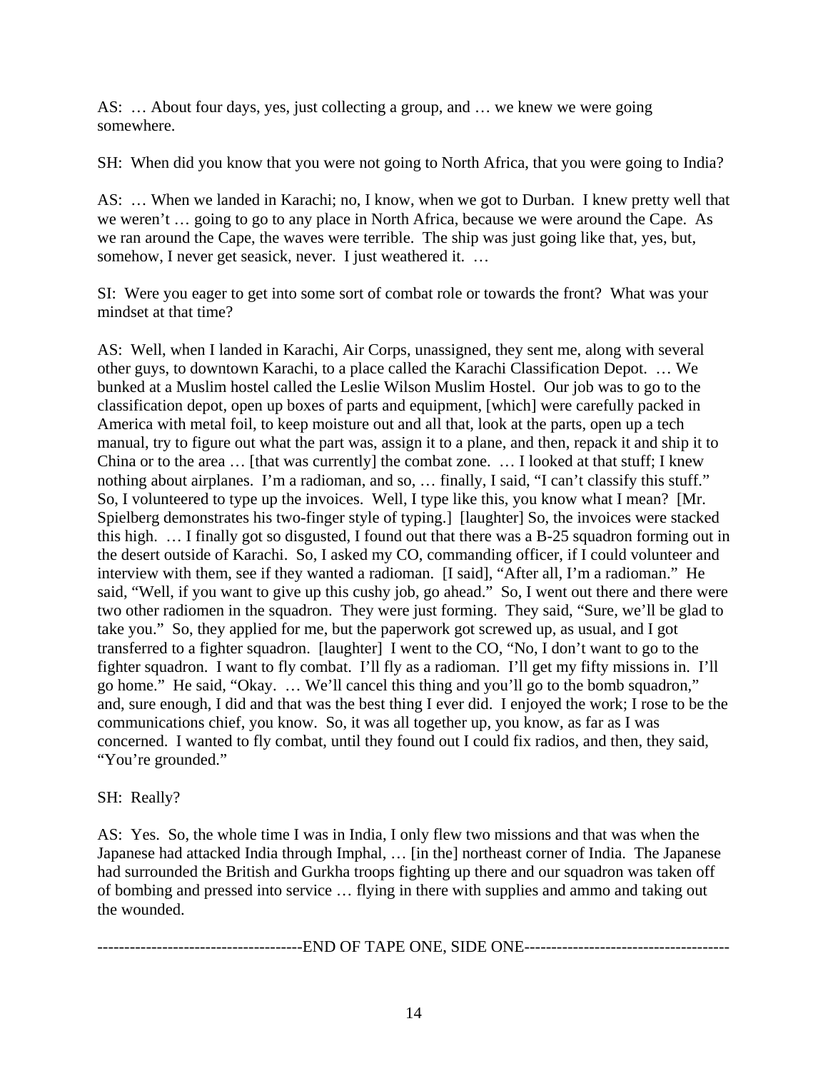AS: … About four days, yes, just collecting a group, and … we knew we were going somewhere.

SH: When did you know that you were not going to North Africa, that you were going to India?

AS: … When we landed in Karachi; no, I know, when we got to Durban. I knew pretty well that we weren't … going to go to any place in North Africa, because we were around the Cape. As we ran around the Cape, the waves were terrible. The ship was just going like that, yes, but, somehow, I never get seasick, never. I just weathered it. ...

SI: Were you eager to get into some sort of combat role or towards the front? What was your mindset at that time?

AS: Well, when I landed in Karachi, Air Corps, unassigned, they sent me, along with several other guys, to downtown Karachi, to a place called the Karachi Classification Depot. … We bunked at a Muslim hostel called the Leslie Wilson Muslim Hostel. Our job was to go to the classification depot, open up boxes of parts and equipment, [which] were carefully packed in America with metal foil, to keep moisture out and all that, look at the parts, open up a tech manual, try to figure out what the part was, assign it to a plane, and then, repack it and ship it to China or to the area … [that was currently] the combat zone. … I looked at that stuff; I knew nothing about airplanes. I'm a radioman, and so, … finally, I said, "I can't classify this stuff." So, I volunteered to type up the invoices. Well, I type like this, you know what I mean? [Mr. Spielberg demonstrates his two-finger style of typing.] [laughter] So, the invoices were stacked this high. … I finally got so disgusted, I found out that there was a B-25 squadron forming out in the desert outside of Karachi. So, I asked my CO, commanding officer, if I could volunteer and interview with them, see if they wanted a radioman. [I said], "After all, I'm a radioman." He said, "Well, if you want to give up this cushy job, go ahead." So, I went out there and there were two other radiomen in the squadron. They were just forming. They said, "Sure, we'll be glad to take you." So, they applied for me, but the paperwork got screwed up, as usual, and I got transferred to a fighter squadron. [laughter] I went to the CO, "No, I don't want to go to the fighter squadron. I want to fly combat. I'll fly as a radioman. I'll get my fifty missions in. I'll go home." He said, "Okay. … We'll cancel this thing and you'll go to the bomb squadron," and, sure enough, I did and that was the best thing I ever did. I enjoyed the work; I rose to be the communications chief, you know. So, it was all together up, you know, as far as I was concerned. I wanted to fly combat, until they found out I could fix radios, and then, they said, "You're grounded."

# SH: Really?

AS: Yes. So, the whole time I was in India, I only flew two missions and that was when the Japanese had attacked India through Imphal, … [in the] northeast corner of India. The Japanese had surrounded the British and Gurkha troops fighting up there and our squadron was taken off of bombing and pressed into service … flying in there with supplies and ammo and taking out the wounded.

--------------------------------------END OF TAPE ONE, SIDE ONE--------------------------------------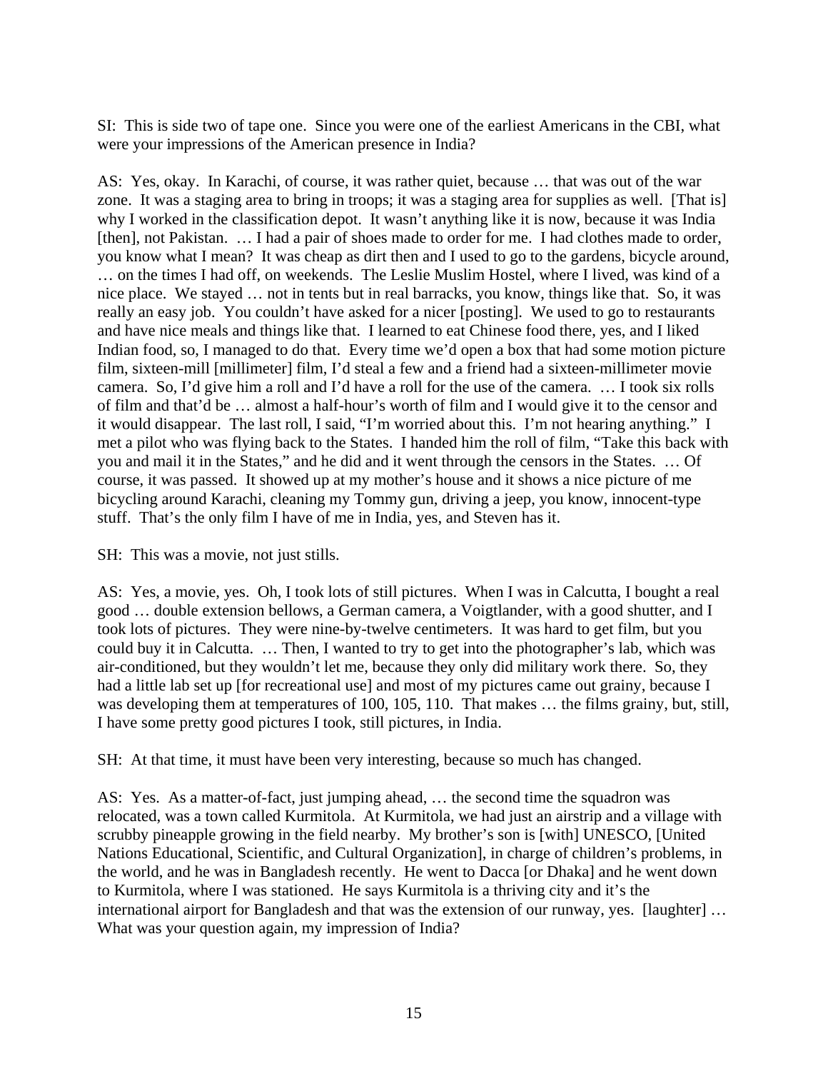SI: This is side two of tape one. Since you were one of the earliest Americans in the CBI, what were your impressions of the American presence in India?

AS: Yes, okay. In Karachi, of course, it was rather quiet, because … that was out of the war zone. It was a staging area to bring in troops; it was a staging area for supplies as well. [That is] why I worked in the classification depot. It wasn't anything like it is now, because it was India [then], not Pakistan. ... I had a pair of shoes made to order for me. I had clothes made to order, you know what I mean? It was cheap as dirt then and I used to go to the gardens, bicycle around, … on the times I had off, on weekends. The Leslie Muslim Hostel, where I lived, was kind of a nice place. We stayed … not in tents but in real barracks, you know, things like that. So, it was really an easy job. You couldn't have asked for a nicer [posting]. We used to go to restaurants and have nice meals and things like that. I learned to eat Chinese food there, yes, and I liked Indian food, so, I managed to do that. Every time we'd open a box that had some motion picture film, sixteen-mill [millimeter] film, I'd steal a few and a friend had a sixteen-millimeter movie camera. So, I'd give him a roll and I'd have a roll for the use of the camera. … I took six rolls of film and that'd be … almost a half-hour's worth of film and I would give it to the censor and it would disappear. The last roll, I said, "I'm worried about this. I'm not hearing anything." I met a pilot who was flying back to the States. I handed him the roll of film, "Take this back with you and mail it in the States," and he did and it went through the censors in the States. … Of course, it was passed. It showed up at my mother's house and it shows a nice picture of me bicycling around Karachi, cleaning my Tommy gun, driving a jeep, you know, innocent-type stuff. That's the only film I have of me in India, yes, and Steven has it.

SH: This was a movie, not just stills.

AS: Yes, a movie, yes. Oh, I took lots of still pictures. When I was in Calcutta, I bought a real good … double extension bellows, a German camera, a Voigtlander, with a good shutter, and I took lots of pictures. They were nine-by-twelve centimeters. It was hard to get film, but you could buy it in Calcutta. … Then, I wanted to try to get into the photographer's lab, which was air-conditioned, but they wouldn't let me, because they only did military work there. So, they had a little lab set up [for recreational use] and most of my pictures came out grainy, because I was developing them at temperatures of 100, 105, 110. That makes … the films grainy, but, still, I have some pretty good pictures I took, still pictures, in India.

SH: At that time, it must have been very interesting, because so much has changed.

AS: Yes. As a matter-of-fact, just jumping ahead, … the second time the squadron was relocated, was a town called Kurmitola. At Kurmitola, we had just an airstrip and a village with scrubby pineapple growing in the field nearby. My brother's son is [with] UNESCO, [United Nations Educational, Scientific, and Cultural Organization], in charge of children's problems, in the world, and he was in Bangladesh recently. He went to Dacca [or Dhaka] and he went down to Kurmitola, where I was stationed. He says Kurmitola is a thriving city and it's the international airport for Bangladesh and that was the extension of our runway, yes. [laughter] … What was your question again, my impression of India?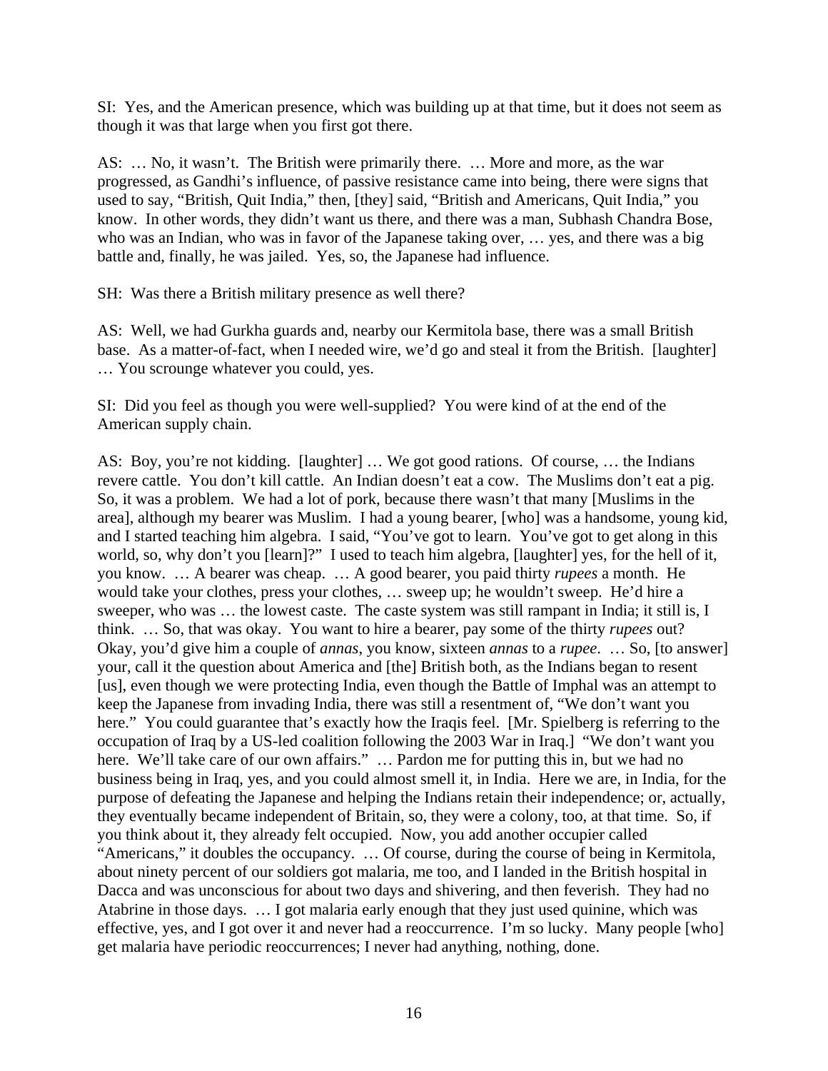SI: Yes, and the American presence, which was building up at that time, but it does not seem as though it was that large when you first got there.

AS: … No, it wasn't. The British were primarily there. … More and more, as the war progressed, as Gandhi's influence, of passive resistance came into being, there were signs that used to say, "British, Quit India," then, [they] said, "British and Americans, Quit India," you know. In other words, they didn't want us there, and there was a man, Subhash Chandra Bose, who was an Indian, who was in favor of the Japanese taking over, … yes, and there was a big battle and, finally, he was jailed. Yes, so, the Japanese had influence.

SH: Was there a British military presence as well there?

AS: Well, we had Gurkha guards and, nearby our Kermitola base, there was a small British base. As a matter-of-fact, when I needed wire, we'd go and steal it from the British. [laughter] … You scrounge whatever you could, yes.

SI: Did you feel as though you were well-supplied? You were kind of at the end of the American supply chain.

AS: Boy, you're not kidding. [laughter] … We got good rations. Of course, … the Indians revere cattle. You don't kill cattle. An Indian doesn't eat a cow. The Muslims don't eat a pig. So, it was a problem. We had a lot of pork, because there wasn't that many [Muslims in the area], although my bearer was Muslim. I had a young bearer, [who] was a handsome, young kid, and I started teaching him algebra. I said, "You've got to learn. You've got to get along in this world, so, why don't you [learn]?" I used to teach him algebra, [laughter] yes, for the hell of it, you know. … A bearer was cheap. … A good bearer, you paid thirty *rupees* a month. He would take your clothes, press your clothes, … sweep up; he wouldn't sweep. He'd hire a sweeper, who was … the lowest caste. The caste system was still rampant in India; it still is, I think. … So, that was okay. You want to hire a bearer, pay some of the thirty *rupees* out? Okay, you'd give him a couple of *annas*, you know, sixteen *annas* to a *rupee*. … So, [to answer] your, call it the question about America and [the] British both, as the Indians began to resent [us], even though we were protecting India, even though the Battle of Imphal was an attempt to keep the Japanese from invading India, there was still a resentment of, "We don't want you here." You could guarantee that's exactly how the Iraqis feel. [Mr. Spielberg is referring to the occupation of Iraq by a US-led coalition following the 2003 War in Iraq.] "We don't want you here. We'll take care of our own affairs." ... Pardon me for putting this in, but we had no business being in Iraq, yes, and you could almost smell it, in India. Here we are, in India, for the purpose of defeating the Japanese and helping the Indians retain their independence; or, actually, they eventually became independent of Britain, so, they were a colony, too, at that time. So, if you think about it, they already felt occupied. Now, you add another occupier called "Americans," it doubles the occupancy. … Of course, during the course of being in Kermitola, about ninety percent of our soldiers got malaria, me too, and I landed in the British hospital in Dacca and was unconscious for about two days and shivering, and then feverish. They had no Atabrine in those days. … I got malaria early enough that they just used quinine, which was effective, yes, and I got over it and never had a reoccurrence. I'm so lucky. Many people [who] get malaria have periodic reoccurrences; I never had anything, nothing, done.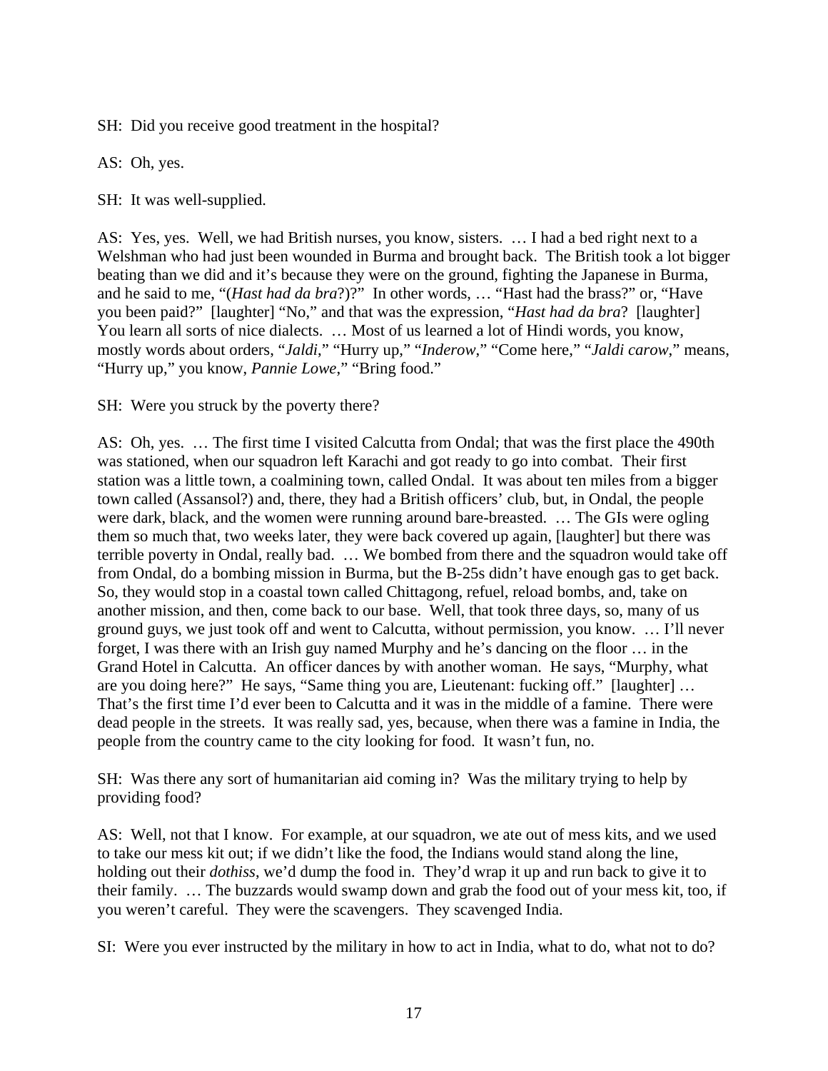SH: Did you receive good treatment in the hospital?

AS: Oh, yes.

SH: It was well-supplied.

AS: Yes, yes. Well, we had British nurses, you know, sisters. … I had a bed right next to a Welshman who had just been wounded in Burma and brought back. The British took a lot bigger beating than we did and it's because they were on the ground, fighting the Japanese in Burma, and he said to me, "(*Hast had da bra*?)?" In other words, … "Hast had the brass?" or, "Have you been paid?" [laughter] "No," and that was the expression, "*Hast had da bra*? [laughter] You learn all sorts of nice dialects. ... Most of us learned a lot of Hindi words, you know, mostly words about orders, "*Jaldi*," "Hurry up," "*Inderow*," "Come here," "*Jaldi carow*," means, "Hurry up," you know, *Pannie Lowe*," "Bring food."

SH: Were you struck by the poverty there?

AS: Oh, yes. … The first time I visited Calcutta from Ondal; that was the first place the 490th was stationed, when our squadron left Karachi and got ready to go into combat. Their first station was a little town, a coalmining town, called Ondal. It was about ten miles from a bigger town called (Assansol?) and, there, they had a British officers' club, but, in Ondal, the people were dark, black, and the women were running around bare-breasted. … The GIs were ogling them so much that, two weeks later, they were back covered up again, [laughter] but there was terrible poverty in Ondal, really bad. … We bombed from there and the squadron would take off from Ondal, do a bombing mission in Burma, but the B-25s didn't have enough gas to get back. So, they would stop in a coastal town called Chittagong, refuel, reload bombs, and, take on another mission, and then, come back to our base. Well, that took three days, so, many of us ground guys, we just took off and went to Calcutta, without permission, you know. … I'll never forget, I was there with an Irish guy named Murphy and he's dancing on the floor … in the Grand Hotel in Calcutta. An officer dances by with another woman. He says, "Murphy, what are you doing here?" He says, "Same thing you are, Lieutenant: fucking off." [laughter] … That's the first time I'd ever been to Calcutta and it was in the middle of a famine. There were dead people in the streets. It was really sad, yes, because, when there was a famine in India, the people from the country came to the city looking for food. It wasn't fun, no.

SH: Was there any sort of humanitarian aid coming in? Was the military trying to help by providing food?

AS: Well, not that I know. For example, at our squadron, we ate out of mess kits, and we used to take our mess kit out; if we didn't like the food, the Indians would stand along the line, holding out their *dothiss*, we'd dump the food in. They'd wrap it up and run back to give it to their family. … The buzzards would swamp down and grab the food out of your mess kit, too, if you weren't careful. They were the scavengers. They scavenged India.

SI: Were you ever instructed by the military in how to act in India, what to do, what not to do?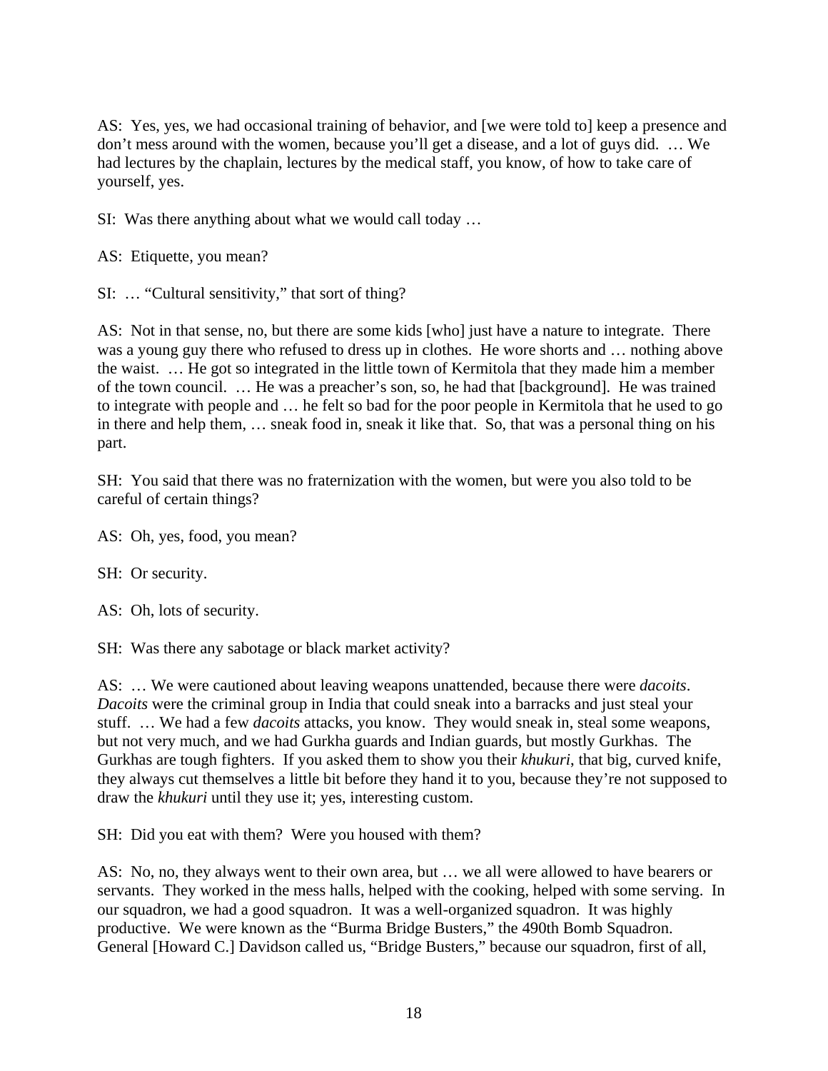AS: Yes, yes, we had occasional training of behavior, and [we were told to] keep a presence and don't mess around with the women, because you'll get a disease, and a lot of guys did. … We had lectures by the chaplain, lectures by the medical staff, you know, of how to take care of yourself, yes.

SI: Was there anything about what we would call today …

AS: Etiquette, you mean?

SI: … "Cultural sensitivity," that sort of thing?

AS: Not in that sense, no, but there are some kids [who] just have a nature to integrate. There was a young guy there who refused to dress up in clothes. He wore shorts and … nothing above the waist. … He got so integrated in the little town of Kermitola that they made him a member of the town council. … He was a preacher's son, so, he had that [background]. He was trained to integrate with people and … he felt so bad for the poor people in Kermitola that he used to go in there and help them, … sneak food in, sneak it like that. So, that was a personal thing on his part.

SH: You said that there was no fraternization with the women, but were you also told to be careful of certain things?

AS: Oh, yes, food, you mean?

SH: Or security.

AS: Oh, lots of security.

SH: Was there any sabotage or black market activity?

AS: … We were cautioned about leaving weapons unattended, because there were *dacoits*. *Dacoits* were the criminal group in India that could sneak into a barracks and just steal your stuff. … We had a few *dacoits* attacks, you know. They would sneak in, steal some weapons, but not very much, and we had Gurkha guards and Indian guards, but mostly Gurkhas. The Gurkhas are tough fighters. If you asked them to show you their *khukuri*, that big, curved knife, they always cut themselves a little bit before they hand it to you, because they're not supposed to draw the *khukuri* until they use it; yes, interesting custom.

SH: Did you eat with them? Were you housed with them?

AS: No, no, they always went to their own area, but … we all were allowed to have bearers or servants. They worked in the mess halls, helped with the cooking, helped with some serving. In our squadron, we had a good squadron. It was a well-organized squadron. It was highly productive. We were known as the "Burma Bridge Busters," the 490th Bomb Squadron. General [Howard C.] Davidson called us, "Bridge Busters," because our squadron, first of all,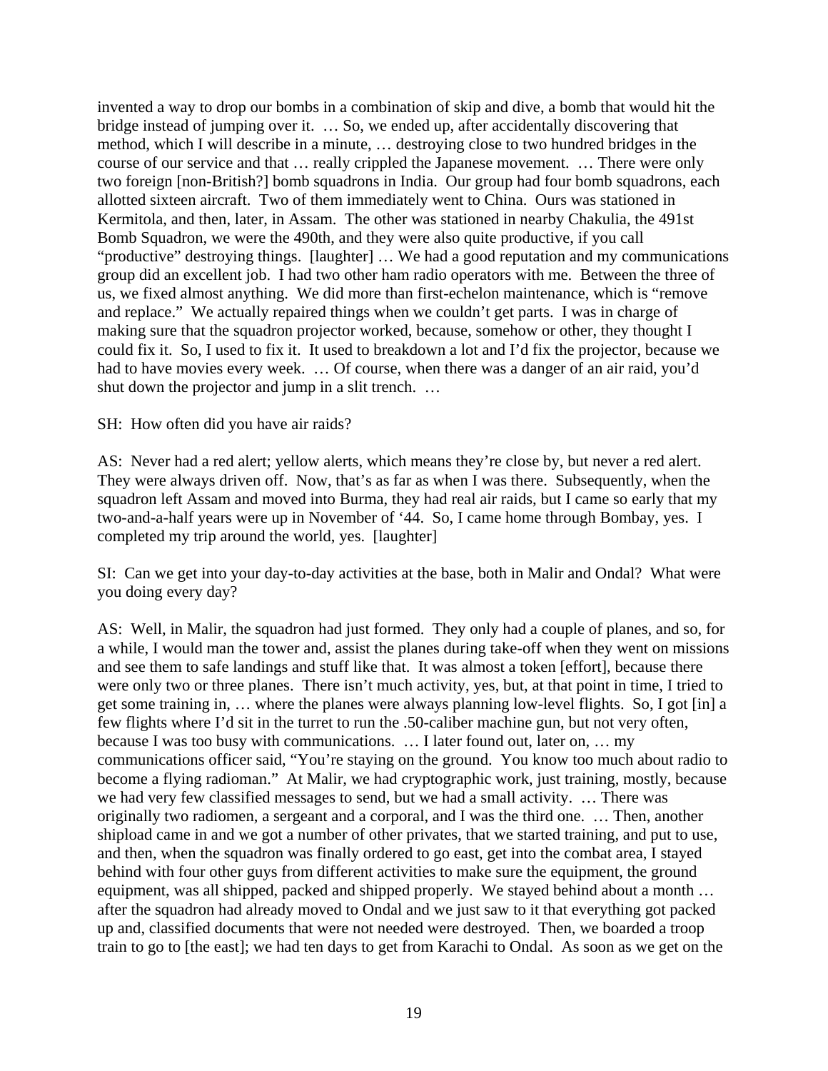invented a way to drop our bombs in a combination of skip and dive, a bomb that would hit the bridge instead of jumping over it. … So, we ended up, after accidentally discovering that method, which I will describe in a minute, … destroying close to two hundred bridges in the course of our service and that … really crippled the Japanese movement. … There were only two foreign [non-British?] bomb squadrons in India. Our group had four bomb squadrons, each allotted sixteen aircraft. Two of them immediately went to China. Ours was stationed in Kermitola, and then, later, in Assam. The other was stationed in nearby Chakulia, the 491st Bomb Squadron, we were the 490th, and they were also quite productive, if you call "productive" destroying things. [laughter] … We had a good reputation and my communications group did an excellent job. I had two other ham radio operators with me. Between the three of us, we fixed almost anything. We did more than first-echelon maintenance, which is "remove and replace." We actually repaired things when we couldn't get parts. I was in charge of making sure that the squadron projector worked, because, somehow or other, they thought I could fix it. So, I used to fix it. It used to breakdown a lot and I'd fix the projector, because we had to have movies every week. … Of course, when there was a danger of an air raid, you'd shut down the projector and jump in a slit trench. ...

SH: How often did you have air raids?

AS: Never had a red alert; yellow alerts, which means they're close by, but never a red alert. They were always driven off. Now, that's as far as when I was there. Subsequently, when the squadron left Assam and moved into Burma, they had real air raids, but I came so early that my two-and-a-half years were up in November of '44. So, I came home through Bombay, yes. I completed my trip around the world, yes. [laughter]

SI: Can we get into your day-to-day activities at the base, both in Malir and Ondal? What were you doing every day?

AS: Well, in Malir, the squadron had just formed. They only had a couple of planes, and so, for a while, I would man the tower and, assist the planes during take-off when they went on missions and see them to safe landings and stuff like that. It was almost a token [effort], because there were only two or three planes. There isn't much activity, yes, but, at that point in time, I tried to get some training in, … where the planes were always planning low-level flights. So, I got [in] a few flights where I'd sit in the turret to run the .50-caliber machine gun, but not very often, because I was too busy with communications. … I later found out, later on, … my communications officer said, "You're staying on the ground. You know too much about radio to become a flying radioman." At Malir, we had cryptographic work, just training, mostly, because we had very few classified messages to send, but we had a small activity. … There was originally two radiomen, a sergeant and a corporal, and I was the third one. … Then, another shipload came in and we got a number of other privates, that we started training, and put to use, and then, when the squadron was finally ordered to go east, get into the combat area, I stayed behind with four other guys from different activities to make sure the equipment, the ground equipment, was all shipped, packed and shipped properly. We stayed behind about a month … after the squadron had already moved to Ondal and we just saw to it that everything got packed up and, classified documents that were not needed were destroyed. Then, we boarded a troop train to go to [the east]; we had ten days to get from Karachi to Ondal. As soon as we get on the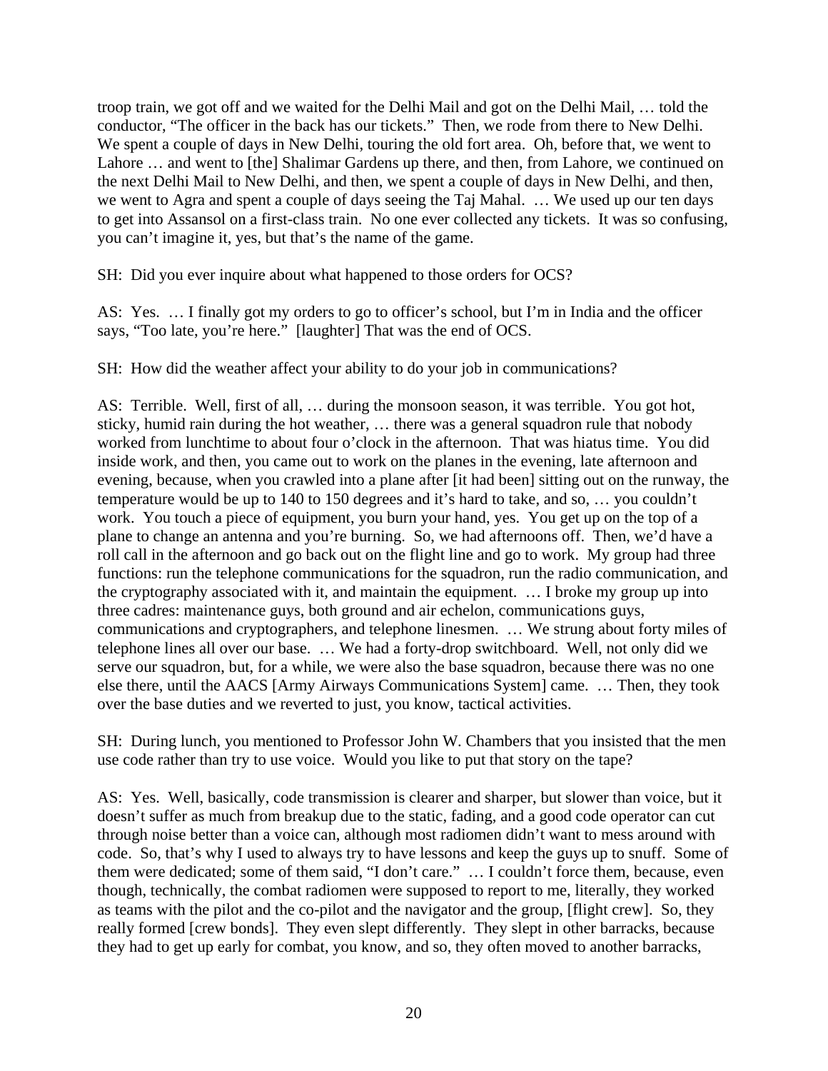troop train, we got off and we waited for the Delhi Mail and got on the Delhi Mail, … told the conductor, "The officer in the back has our tickets." Then, we rode from there to New Delhi. We spent a couple of days in New Delhi, touring the old fort area. Oh, before that, we went to Lahore … and went to [the] Shalimar Gardens up there, and then, from Lahore, we continued on the next Delhi Mail to New Delhi, and then, we spent a couple of days in New Delhi, and then, we went to Agra and spent a couple of days seeing the Taj Mahal. … We used up our ten days to get into Assansol on a first-class train. No one ever collected any tickets. It was so confusing, you can't imagine it, yes, but that's the name of the game.

SH: Did you ever inquire about what happened to those orders for OCS?

AS: Yes. … I finally got my orders to go to officer's school, but I'm in India and the officer says, "Too late, you're here." [laughter] That was the end of OCS.

SH: How did the weather affect your ability to do your job in communications?

AS: Terrible. Well, first of all, … during the monsoon season, it was terrible. You got hot, sticky, humid rain during the hot weather, … there was a general squadron rule that nobody worked from lunchtime to about four o'clock in the afternoon. That was hiatus time. You did inside work, and then, you came out to work on the planes in the evening, late afternoon and evening, because, when you crawled into a plane after [it had been] sitting out on the runway, the temperature would be up to 140 to 150 degrees and it's hard to take, and so, … you couldn't work. You touch a piece of equipment, you burn your hand, yes. You get up on the top of a plane to change an antenna and you're burning. So, we had afternoons off. Then, we'd have a roll call in the afternoon and go back out on the flight line and go to work. My group had three functions: run the telephone communications for the squadron, run the radio communication, and the cryptography associated with it, and maintain the equipment. … I broke my group up into three cadres: maintenance guys, both ground and air echelon, communications guys, communications and cryptographers, and telephone linesmen. … We strung about forty miles of telephone lines all over our base. … We had a forty-drop switchboard. Well, not only did we serve our squadron, but, for a while, we were also the base squadron, because there was no one else there, until the AACS [Army Airways Communications System] came. … Then, they took over the base duties and we reverted to just, you know, tactical activities.

SH: During lunch, you mentioned to Professor John W. Chambers that you insisted that the men use code rather than try to use voice. Would you like to put that story on the tape?

AS: Yes. Well, basically, code transmission is clearer and sharper, but slower than voice, but it doesn't suffer as much from breakup due to the static, fading, and a good code operator can cut through noise better than a voice can, although most radiomen didn't want to mess around with code. So, that's why I used to always try to have lessons and keep the guys up to snuff. Some of them were dedicated; some of them said, "I don't care." … I couldn't force them, because, even though, technically, the combat radiomen were supposed to report to me, literally, they worked as teams with the pilot and the co-pilot and the navigator and the group, [flight crew]. So, they really formed [crew bonds]. They even slept differently. They slept in other barracks, because they had to get up early for combat, you know, and so, they often moved to another barracks,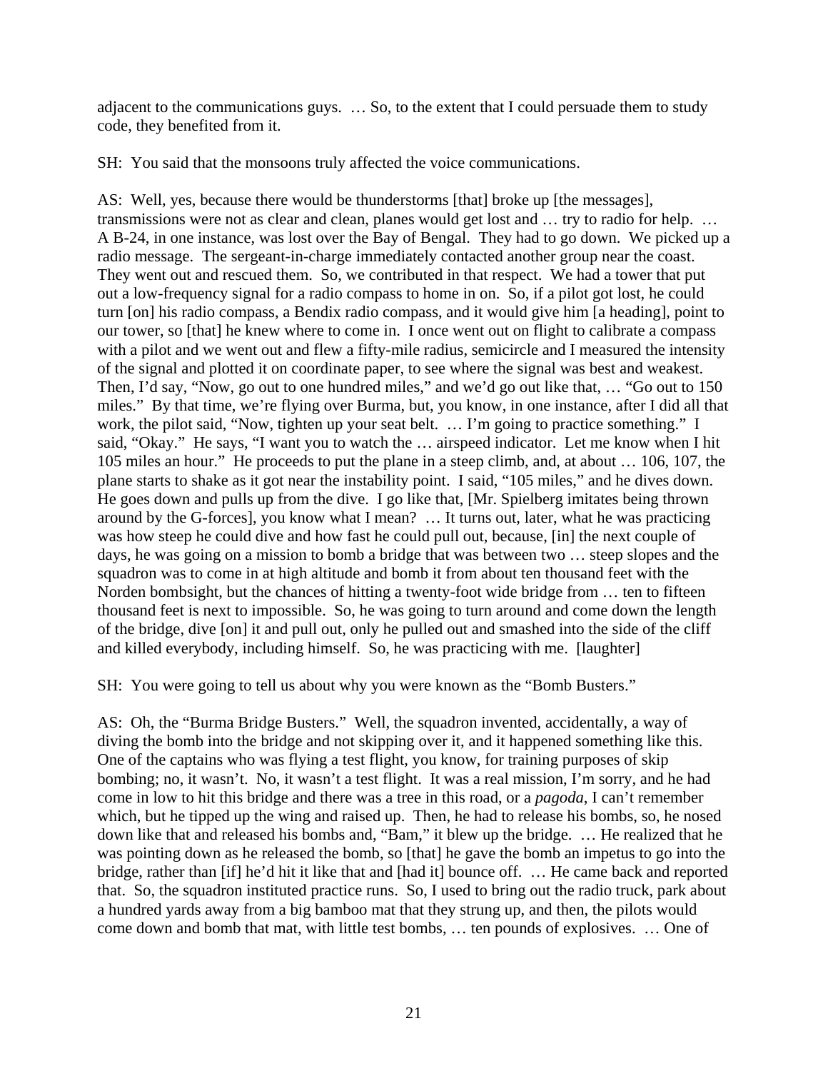adjacent to the communications guys. … So, to the extent that I could persuade them to study code, they benefited from it.

SH: You said that the monsoons truly affected the voice communications.

AS: Well, yes, because there would be thunderstorms [that] broke up [the messages], transmissions were not as clear and clean, planes would get lost and … try to radio for help. … A B-24, in one instance, was lost over the Bay of Bengal. They had to go down. We picked up a radio message. The sergeant-in-charge immediately contacted another group near the coast. They went out and rescued them. So, we contributed in that respect. We had a tower that put out a low-frequency signal for a radio compass to home in on. So, if a pilot got lost, he could turn [on] his radio compass, a Bendix radio compass, and it would give him [a heading], point to our tower, so [that] he knew where to come in. I once went out on flight to calibrate a compass with a pilot and we went out and flew a fifty-mile radius, semicircle and I measured the intensity of the signal and plotted it on coordinate paper, to see where the signal was best and weakest. Then, I'd say, "Now, go out to one hundred miles," and we'd go out like that, … "Go out to 150 miles." By that time, we're flying over Burma, but, you know, in one instance, after I did all that work, the pilot said, "Now, tighten up your seat belt. … I'm going to practice something." I said, "Okay." He says, "I want you to watch the … airspeed indicator. Let me know when I hit 105 miles an hour." He proceeds to put the plane in a steep climb, and, at about … 106, 107, the plane starts to shake as it got near the instability point. I said, "105 miles," and he dives down. He goes down and pulls up from the dive. I go like that, [Mr. Spielberg imitates being thrown around by the G-forces], you know what I mean? … It turns out, later, what he was practicing was how steep he could dive and how fast he could pull out, because, [in] the next couple of days, he was going on a mission to bomb a bridge that was between two … steep slopes and the squadron was to come in at high altitude and bomb it from about ten thousand feet with the Norden bombsight, but the chances of hitting a twenty-foot wide bridge from … ten to fifteen thousand feet is next to impossible. So, he was going to turn around and come down the length of the bridge, dive [on] it and pull out, only he pulled out and smashed into the side of the cliff and killed everybody, including himself. So, he was practicing with me. [laughter]

SH: You were going to tell us about why you were known as the "Bomb Busters."

AS: Oh, the "Burma Bridge Busters." Well, the squadron invented, accidentally, a way of diving the bomb into the bridge and not skipping over it, and it happened something like this. One of the captains who was flying a test flight, you know, for training purposes of skip bombing; no, it wasn't. No, it wasn't a test flight. It was a real mission, I'm sorry, and he had come in low to hit this bridge and there was a tree in this road, or a *pagoda*, I can't remember which, but he tipped up the wing and raised up. Then, he had to release his bombs, so, he nosed down like that and released his bombs and, "Bam," it blew up the bridge. … He realized that he was pointing down as he released the bomb, so [that] he gave the bomb an impetus to go into the bridge, rather than [if] he'd hit it like that and [had it] bounce off. … He came back and reported that. So, the squadron instituted practice runs. So, I used to bring out the radio truck, park about a hundred yards away from a big bamboo mat that they strung up, and then, the pilots would come down and bomb that mat, with little test bombs, … ten pounds of explosives. … One of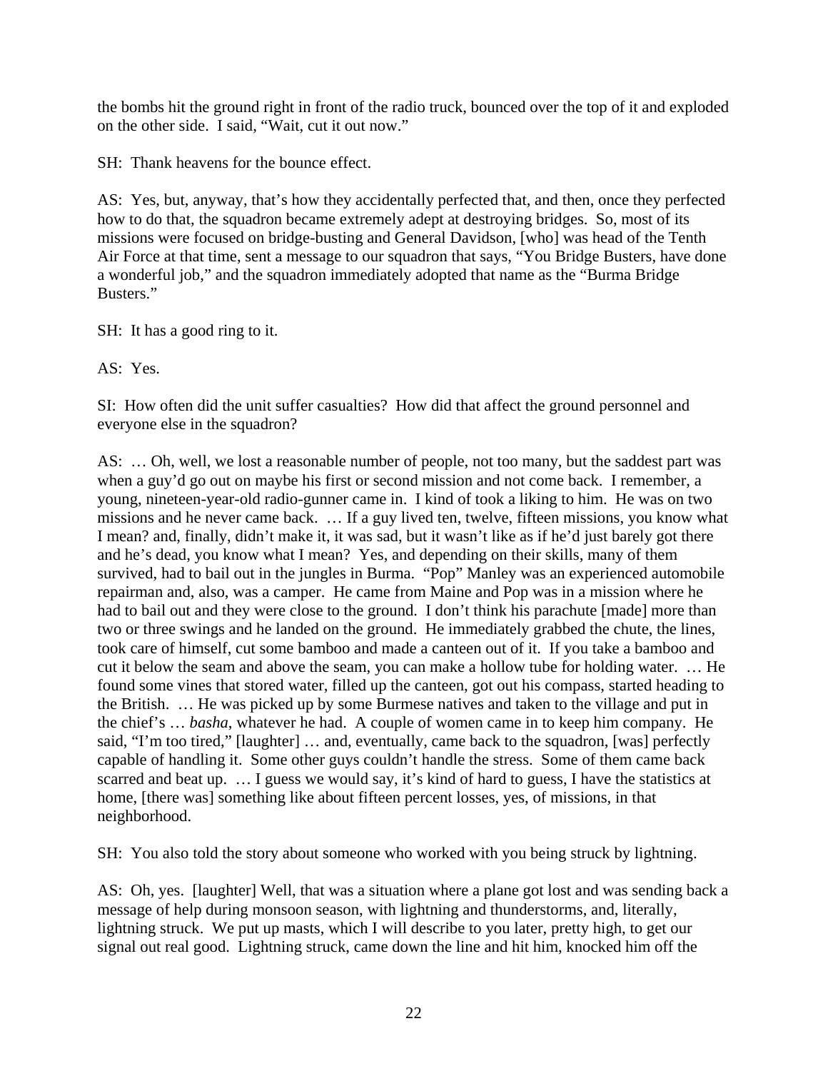the bombs hit the ground right in front of the radio truck, bounced over the top of it and exploded on the other side. I said, "Wait, cut it out now."

SH: Thank heavens for the bounce effect.

AS: Yes, but, anyway, that's how they accidentally perfected that, and then, once they perfected how to do that, the squadron became extremely adept at destroying bridges. So, most of its missions were focused on bridge-busting and General Davidson, [who] was head of the Tenth Air Force at that time, sent a message to our squadron that says, "You Bridge Busters, have done a wonderful job," and the squadron immediately adopted that name as the "Burma Bridge Busters."

SH: It has a good ring to it.

AS: Yes.

SI: How often did the unit suffer casualties? How did that affect the ground personnel and everyone else in the squadron?

AS: … Oh, well, we lost a reasonable number of people, not too many, but the saddest part was when a guy'd go out on maybe his first or second mission and not come back. I remember, a young, nineteen-year-old radio-gunner came in. I kind of took a liking to him. He was on two missions and he never came back. … If a guy lived ten, twelve, fifteen missions, you know what I mean? and, finally, didn't make it, it was sad, but it wasn't like as if he'd just barely got there and he's dead, you know what I mean? Yes, and depending on their skills, many of them survived, had to bail out in the jungles in Burma. "Pop" Manley was an experienced automobile repairman and, also, was a camper. He came from Maine and Pop was in a mission where he had to bail out and they were close to the ground. I don't think his parachute [made] more than two or three swings and he landed on the ground. He immediately grabbed the chute, the lines, took care of himself, cut some bamboo and made a canteen out of it. If you take a bamboo and cut it below the seam and above the seam, you can make a hollow tube for holding water. … He found some vines that stored water, filled up the canteen, got out his compass, started heading to the British. … He was picked up by some Burmese natives and taken to the village and put in the chief's … *basha*, whatever he had. A couple of women came in to keep him company. He said, "I'm too tired," [laughter] … and, eventually, came back to the squadron, [was] perfectly capable of handling it. Some other guys couldn't handle the stress. Some of them came back scarred and beat up. … I guess we would say, it's kind of hard to guess, I have the statistics at home, [there was] something like about fifteen percent losses, yes, of missions, in that neighborhood.

SH: You also told the story about someone who worked with you being struck by lightning.

AS: Oh, yes. [laughter] Well, that was a situation where a plane got lost and was sending back a message of help during monsoon season, with lightning and thunderstorms, and, literally, lightning struck. We put up masts, which I will describe to you later, pretty high, to get our signal out real good. Lightning struck, came down the line and hit him, knocked him off the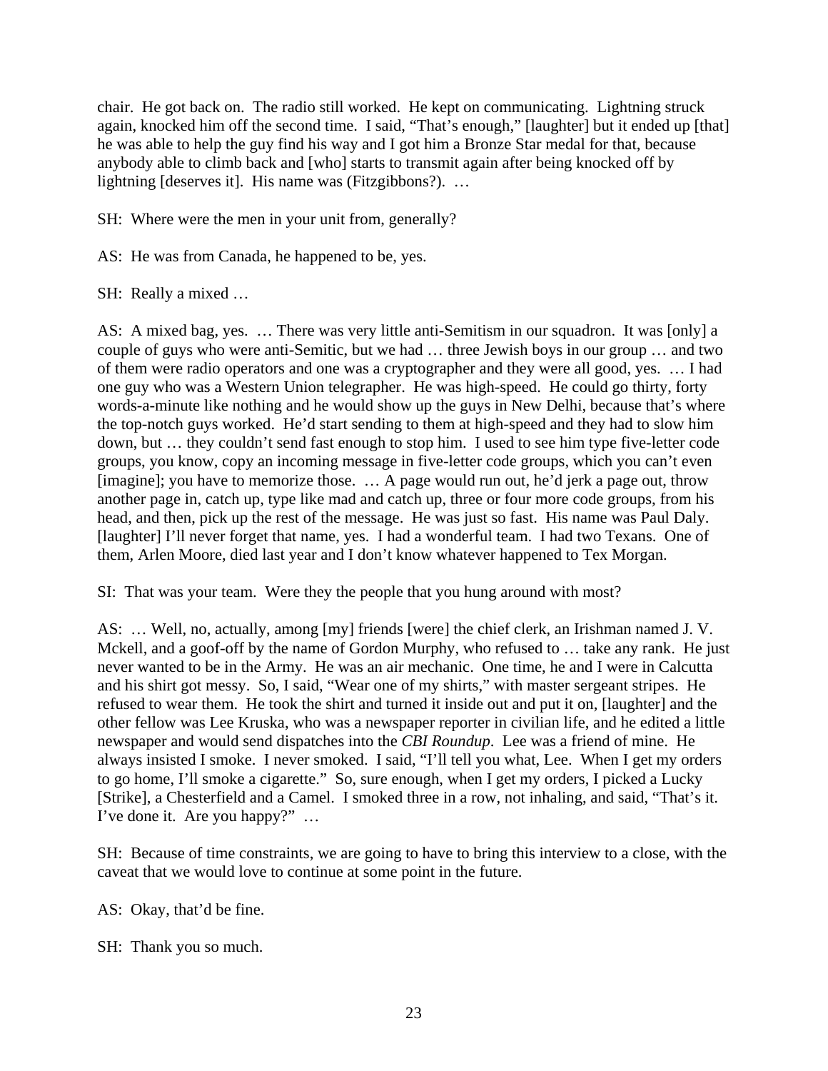chair. He got back on. The radio still worked. He kept on communicating. Lightning struck again, knocked him off the second time. I said, "That's enough," [laughter] but it ended up [that] he was able to help the guy find his way and I got him a Bronze Star medal for that, because anybody able to climb back and [who] starts to transmit again after being knocked off by lightning [deserves it]. His name was (Fitzgibbons?). …

SH: Where were the men in your unit from, generally?

AS: He was from Canada, he happened to be, yes.

SH: Really a mixed …

AS: A mixed bag, yes. … There was very little anti-Semitism in our squadron. It was [only] a couple of guys who were anti-Semitic, but we had … three Jewish boys in our group … and two of them were radio operators and one was a cryptographer and they were all good, yes. … I had one guy who was a Western Union telegrapher. He was high-speed. He could go thirty, forty words-a-minute like nothing and he would show up the guys in New Delhi, because that's where the top-notch guys worked. He'd start sending to them at high-speed and they had to slow him down, but … they couldn't send fast enough to stop him. I used to see him type five-letter code groups, you know, copy an incoming message in five-letter code groups, which you can't even [imagine]; you have to memorize those. … A page would run out, he'd jerk a page out, throw another page in, catch up, type like mad and catch up, three or four more code groups, from his head, and then, pick up the rest of the message. He was just so fast. His name was Paul Daly. [laughter] I'll never forget that name, yes. I had a wonderful team. I had two Texans. One of them, Arlen Moore, died last year and I don't know whatever happened to Tex Morgan.

SI: That was your team. Were they the people that you hung around with most?

AS: … Well, no, actually, among [my] friends [were] the chief clerk, an Irishman named J. V. Mckell, and a goof-off by the name of Gordon Murphy, who refused to … take any rank. He just never wanted to be in the Army. He was an air mechanic. One time, he and I were in Calcutta and his shirt got messy. So, I said, "Wear one of my shirts," with master sergeant stripes. He refused to wear them. He took the shirt and turned it inside out and put it on, [laughter] and the other fellow was Lee Kruska, who was a newspaper reporter in civilian life, and he edited a little newspaper and would send dispatches into the *CBI Roundup*. Lee was a friend of mine. He always insisted I smoke. I never smoked. I said, "I'll tell you what, Lee. When I get my orders to go home, I'll smoke a cigarette." So, sure enough, when I get my orders, I picked a Lucky [Strike], a Chesterfield and a Camel. I smoked three in a row, not inhaling, and said, "That's it. I've done it. Are you happy?" …

SH: Because of time constraints, we are going to have to bring this interview to a close, with the caveat that we would love to continue at some point in the future.

AS: Okay, that'd be fine.

SH: Thank you so much.